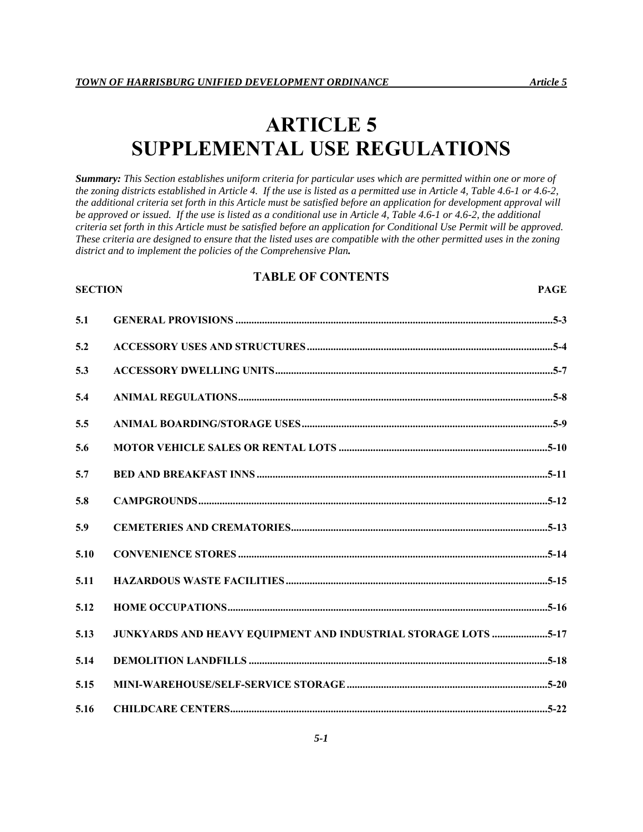# **ARTICLE 5 SUPPLEMENTAL USE REGULATIONS**

*Summary: This Section establishes uniform criteria for particular uses which are permitted within one or more of the zoning districts established in Article 4. If the use is listed as a permitted use in Article 4, Table 4.6-1 or 4.6-2, the additional criteria set forth in this Article must be satisfied before an application for development approval will be approved or issued. If the use is listed as a conditional use in Article 4, Table 4.6-1 or 4.6-2, the additional criteria set forth in this Article must be satisfied before an application for Conditional Use Permit will be approved. These criteria are designed to ensure that the listed uses are compatible with the other permitted uses in the zoning district and to implement the policies of the Comprehensive Plan.*

# **TABLE OF CONTENTS**

#### **SECTION** PAGE

| 5.1  |                                                                |  |
|------|----------------------------------------------------------------|--|
| 5.2  |                                                                |  |
| 5.3  |                                                                |  |
| 5.4  |                                                                |  |
| 5.5  |                                                                |  |
| 5.6  |                                                                |  |
| 5.7  |                                                                |  |
| 5.8  |                                                                |  |
| 5.9  |                                                                |  |
| 5.10 |                                                                |  |
| 5.11 |                                                                |  |
| 5.12 |                                                                |  |
| 5.13 | JUNKYARDS AND HEAVY EQUIPMENT AND INDUSTRIAL STORAGE LOTS 5-17 |  |
| 5.14 |                                                                |  |
| 5.15 |                                                                |  |
| 5.16 |                                                                |  |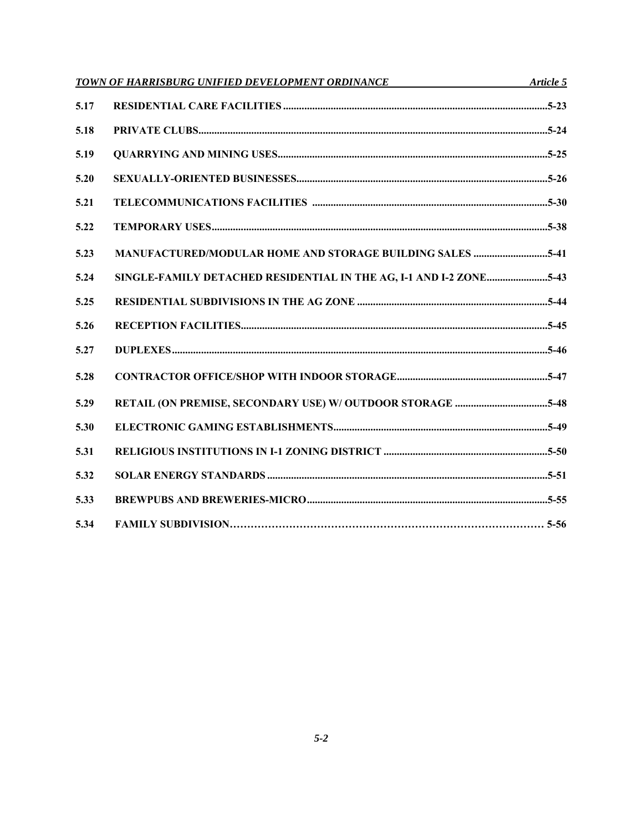|      | TOWN OF HARRISBURG UNIFIED DEVELOPMENT ORDINANCE Article 5         |  |
|------|--------------------------------------------------------------------|--|
| 5.17 |                                                                    |  |
| 5.18 |                                                                    |  |
| 5.19 |                                                                    |  |
| 5.20 |                                                                    |  |
| 5.21 |                                                                    |  |
| 5.22 |                                                                    |  |
| 5.23 | <b>MANUFACTURED/MODULAR HOME AND STORAGE BUILDING SALES 5-41</b>   |  |
| 5.24 | SINGLE-FAMILY DETACHED RESIDENTIAL IN THE AG, I-1 AND I-2 ZONE5-43 |  |
| 5.25 |                                                                    |  |
| 5.26 |                                                                    |  |
| 5.27 |                                                                    |  |
| 5.28 |                                                                    |  |
| 5.29 |                                                                    |  |
| 5.30 |                                                                    |  |
| 5.31 |                                                                    |  |
| 5.32 |                                                                    |  |
| 5.33 |                                                                    |  |
| 5.34 |                                                                    |  |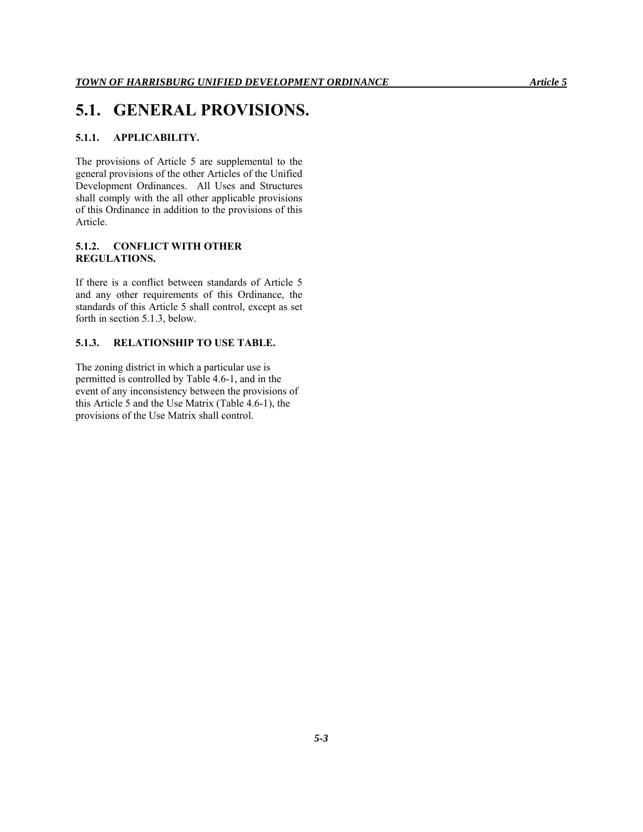# **5.1. GENERAL PROVISIONS.**

# **5.1.1. APPLICABILITY.**

The provisions of Article 5 are supplemental to the general provisions of the other Articles of the Unified Development Ordinances. All Uses and Structures shall comply with the all other applicable provisions of this Ordinance in addition to the provisions of this Article.

### **5.1.2. CONFLICT WITH OTHER REGULATIONS.**

If there is a conflict between standards of Article 5 and any other requirements of this Ordinance, the standards of this Article 5 shall control, except as set forth in section 5.1.3, below.

# **5.1.3. RELATIONSHIP TO USE TABLE.**

The zoning district in which a particular use is permitted is controlled by Table 4.6-1, and in the event of any inconsistency between the provisions of this Article 5 and the Use Matrix (Table 4.6-1), the provisions of the Use Matrix shall control.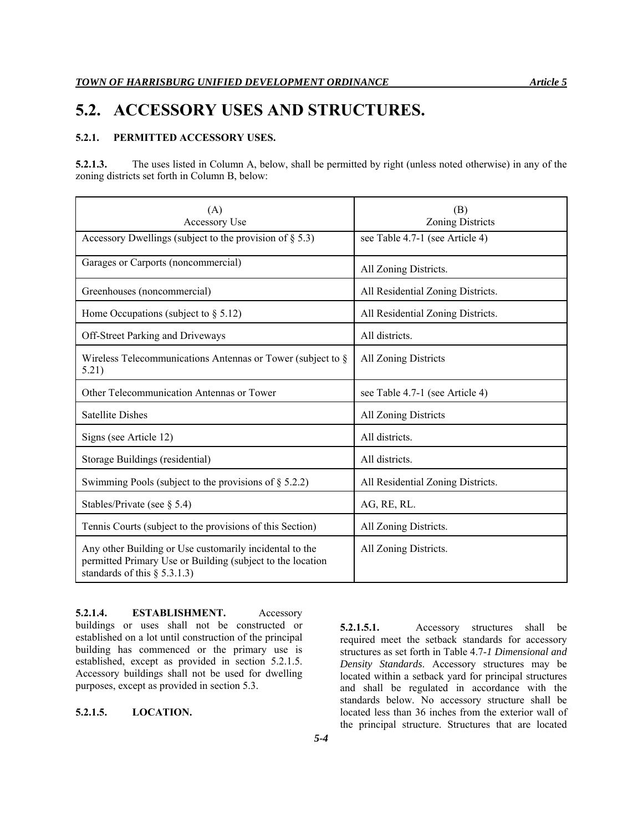# **5.2. ACCESSORY USES AND STRUCTURES.**

# **5.2.1. PERMITTED ACCESSORY USES.**

**5.2.1.3.** The uses listed in Column A, below, shall be permitted by right (unless noted otherwise) in any of the zoning districts set forth in Column B, below:

| (A)                                                                                                                                                      | (B)                               |
|----------------------------------------------------------------------------------------------------------------------------------------------------------|-----------------------------------|
| Accessory Use                                                                                                                                            | Zoning Districts                  |
| Accessory Dwellings (subject to the provision of $\S$ 5.3)                                                                                               | see Table 4.7-1 (see Article 4)   |
| Garages or Carports (noncommercial)                                                                                                                      | All Zoning Districts.             |
| Greenhouses (noncommercial)                                                                                                                              | All Residential Zoning Districts. |
| Home Occupations (subject to $\S 5.12$ )                                                                                                                 | All Residential Zoning Districts. |
| Off-Street Parking and Driveways                                                                                                                         | All districts.                    |
| Wireless Telecommunications Antennas or Tower (subject to $\S$<br>5.21)                                                                                  | All Zoning Districts              |
| Other Telecommunication Antennas or Tower                                                                                                                | see Table 4.7-1 (see Article 4)   |
| <b>Satellite Dishes</b>                                                                                                                                  | All Zoning Districts              |
| Signs (see Article 12)                                                                                                                                   | All districts.                    |
| Storage Buildings (residential)                                                                                                                          | All districts.                    |
| Swimming Pools (subject to the provisions of $\S$ 5.2.2)                                                                                                 | All Residential Zoning Districts. |
| Stables/Private (see $\S$ 5.4)                                                                                                                           | AG, RE, RL.                       |
| Tennis Courts (subject to the provisions of this Section)                                                                                                | All Zoning Districts.             |
| Any other Building or Use customarily incidental to the<br>permitted Primary Use or Building (subject to the location<br>standards of this $\S$ 5.3.1.3) | All Zoning Districts.             |

**5.2.1.4. ESTABLISHMENT.** Accessory buildings or uses shall not be constructed or established on a lot until construction of the principal building has commenced or the primary use is established, except as provided in section 5.2.1.5. Accessory buildings shall not be used for dwelling purposes, except as provided in section 5.3.

# **5.2.1.5. LOCATION.**

**5.2.1.5.1.** Accessory structures shall be required meet the setback standards for accessory structures as set forth in Table 4.7-*1 Dimensional and Density Standards*. Accessory structures may be located within a setback yard for principal structures and shall be regulated in accordance with the standards below. No accessory structure shall be located less than 36 inches from the exterior wall of the principal structure. Structures that are located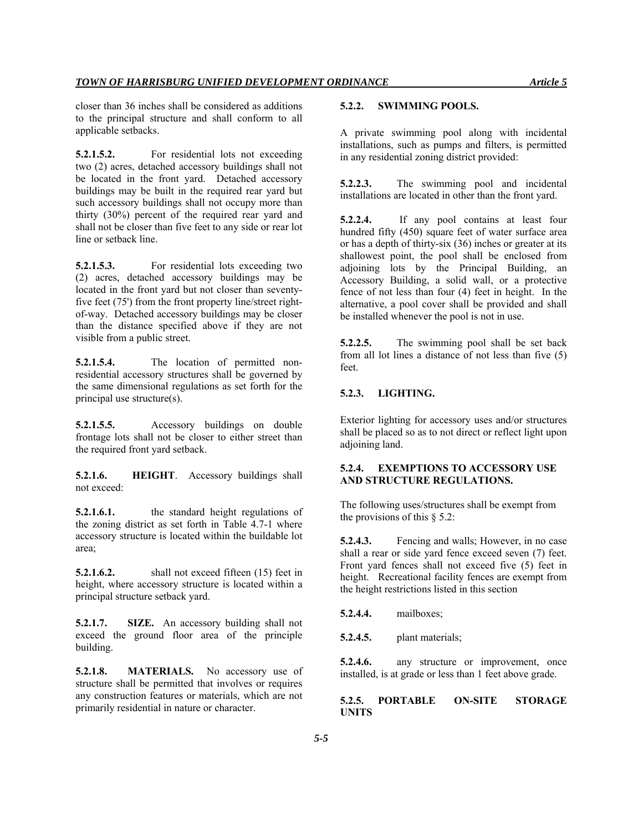closer than 36 inches shall be considered as additions to the principal structure and shall conform to all applicable setbacks.

**5.2.1.5.2.** For residential lots not exceeding two (2) acres, detached accessory buildings shall not be located in the front yard. Detached accessory buildings may be built in the required rear yard but such accessory buildings shall not occupy more than thirty (30%) percent of the required rear yard and shall not be closer than five feet to any side or rear lot line or setback line.

**5.2.1.5.3.** For residential lots exceeding two (2) acres, detached accessory buildings may be located in the front yard but not closer than seventyfive feet (75') from the front property line/street rightof-way. Detached accessory buildings may be closer than the distance specified above if they are not visible from a public street.

**5.2.1.5.4.** The location of permitted nonresidential accessory structures shall be governed by the same dimensional regulations as set forth for the principal use structure(s).

**5.2.1.5.5.** Accessory buildings on double frontage lots shall not be closer to either street than the required front yard setback.

**5.2.1.6. HEIGHT**. Accessory buildings shall not exceed:

**5.2.1.6.1.** the standard height regulations of the zoning district as set forth in Table 4.7-1 where accessory structure is located within the buildable lot area;

**5.2.1.6.2.** shall not exceed fifteen (15) feet in height, where accessory structure is located within a principal structure setback yard.

**5.2.1.7. SIZE.** An accessory building shall not exceed the ground floor area of the principle building.

**5.2.1.8. MATERIALS.** No accessory use of structure shall be permitted that involves or requires any construction features or materials, which are not primarily residential in nature or character.

#### **5.2.2. SWIMMING POOLS.**

A private swimming pool along with incidental installations, such as pumps and filters, is permitted in any residential zoning district provided:

**5.2.2.3.** The swimming pool and incidental installations are located in other than the front yard.

**5.2.2.4.** If any pool contains at least four hundred fifty (450) square feet of water surface area or has a depth of thirty-six (36) inches or greater at its shallowest point, the pool shall be enclosed from adjoining lots by the Principal Building, an Accessory Building, a solid wall, or a protective fence of not less than four (4) feet in height. In the alternative, a pool cover shall be provided and shall be installed whenever the pool is not in use.

**5.2.2.5.** The swimming pool shall be set back from all lot lines a distance of not less than five (5) feet.

### **5.2.3. LIGHTING.**

Exterior lighting for accessory uses and/or structures shall be placed so as to not direct or reflect light upon adjoining land.

### **5.2.4. EXEMPTIONS TO ACCESSORY USE AND STRUCTURE REGULATIONS.**

The following uses/structures shall be exempt from the provisions of this  $\S$  5.2:

**5.2.4.3.** Fencing and walls; However, in no case shall a rear or side yard fence exceed seven (7) feet. Front yard fences shall not exceed five (5) feet in height. Recreational facility fences are exempt from the height restrictions listed in this section

**5.2.4.4.** mailboxes;

**5.2.4.5.** plant materials;

**5.2.4.6.** any structure or improvement, once installed, is at grade or less than 1 feet above grade.

### **5.2.5. PORTABLE ON-SITE STORAGE UNITS**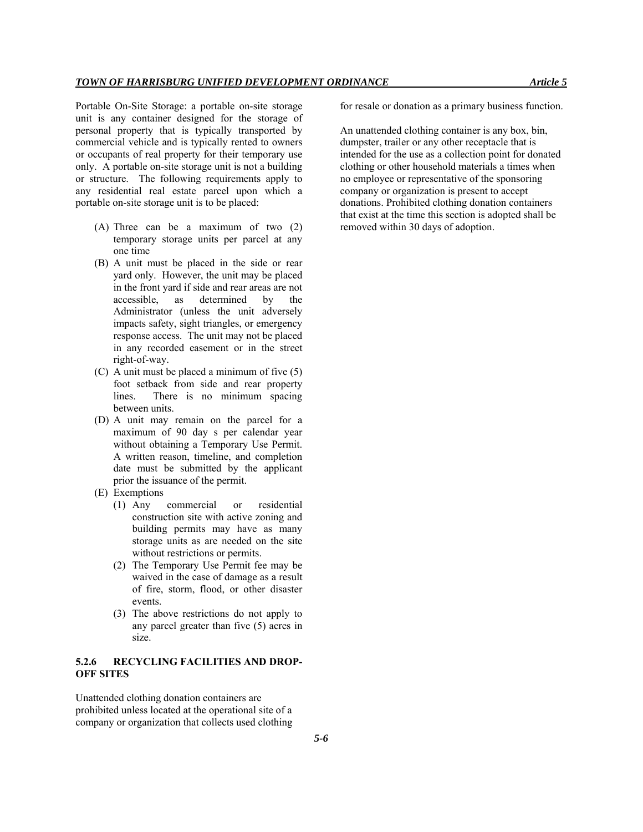Portable On-Site Storage: a portable on-site storage unit is any container designed for the storage of personal property that is typically transported by commercial vehicle and is typically rented to owners or occupants of real property for their temporary use only. A portable on-site storage unit is not a building or structure. The following requirements apply to any residential real estate parcel upon which a portable on-site storage unit is to be placed:

- (A) Three can be a maximum of two (2) temporary storage units per parcel at any one time
- (B) A unit must be placed in the side or rear yard only. However, the unit may be placed in the front yard if side and rear areas are not accessible, as determined by the Administrator (unless the unit adversely impacts safety, sight triangles, or emergency response access. The unit may not be placed in any recorded easement or in the street right-of-way.
- (C) A unit must be placed a minimum of five (5) foot setback from side and rear property lines. There is no minimum spacing between units.
- (D) A unit may remain on the parcel for a maximum of 90 day s per calendar year without obtaining a Temporary Use Permit. A written reason, timeline, and completion date must be submitted by the applicant prior the issuance of the permit.
- (E) Exemptions
	- (1) Any commercial or residential construction site with active zoning and building permits may have as many storage units as are needed on the site without restrictions or permits.
	- (2) The Temporary Use Permit fee may be waived in the case of damage as a result of fire, storm, flood, or other disaster events.
	- (3) The above restrictions do not apply to any parcel greater than five (5) acres in size.

# **5.2.6 RECYCLING FACILITIES AND DROP-OFF SITES**

Unattended clothing donation containers are prohibited unless located at the operational site of a company or organization that collects used clothing for resale or donation as a primary business function.

An unattended clothing container is any box, bin, dumpster, trailer or any other receptacle that is intended for the use as a collection point for donated clothing or other household materials a times when no employee or representative of the sponsoring company or organization is present to accept donations. Prohibited clothing donation containers that exist at the time this section is adopted shall be removed within 30 days of adoption.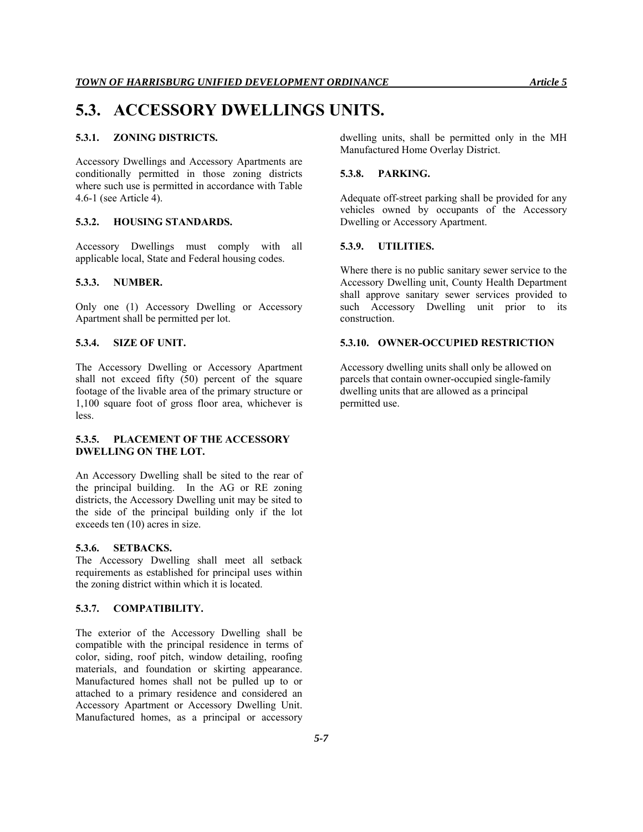# **5.3. ACCESSORY DWELLINGS UNITS.**

# **5.3.1. ZONING DISTRICTS.**

Accessory Dwellings and Accessory Apartments are conditionally permitted in those zoning districts where such use is permitted in accordance with Table 4.6-1 (see Article 4).

#### **5.3.2. HOUSING STANDARDS.**

Accessory Dwellings must comply with all applicable local, State and Federal housing codes.

#### **5.3.3. NUMBER.**

Only one (1) Accessory Dwelling or Accessory Apartment shall be permitted per lot.

#### **5.3.4. SIZE OF UNIT.**

The Accessory Dwelling or Accessory Apartment shall not exceed fifty (50) percent of the square footage of the livable area of the primary structure or 1,100 square foot of gross floor area, whichever is less.

# **5.3.5. PLACEMENT OF THE ACCESSORY DWELLING ON THE LOT.**

An Accessory Dwelling shall be sited to the rear of the principal building. In the AG or RE zoning districts, the Accessory Dwelling unit may be sited to the side of the principal building only if the lot exceeds ten (10) acres in size.

#### **5.3.6. SETBACKS.**

The Accessory Dwelling shall meet all setback requirements as established for principal uses within the zoning district within which it is located.

# **5.3.7. COMPATIBILITY.**

The exterior of the Accessory Dwelling shall be compatible with the principal residence in terms of color, siding, roof pitch, window detailing, roofing materials, and foundation or skirting appearance. Manufactured homes shall not be pulled up to or attached to a primary residence and considered an Accessory Apartment or Accessory Dwelling Unit. Manufactured homes, as a principal or accessory

dwelling units, shall be permitted only in the MH Manufactured Home Overlay District.

### **5.3.8. PARKING.**

Adequate off-street parking shall be provided for any vehicles owned by occupants of the Accessory Dwelling or Accessory Apartment.

#### **5.3.9. UTILITIES.**

Where there is no public sanitary sewer service to the Accessory Dwelling unit, County Health Department shall approve sanitary sewer services provided to such Accessory Dwelling unit prior to its construction.

#### **5.3.10. OWNER-OCCUPIED RESTRICTION**

Accessory dwelling units shall only be allowed on parcels that contain owner-occupied single-family dwelling units that are allowed as a principal permitted use.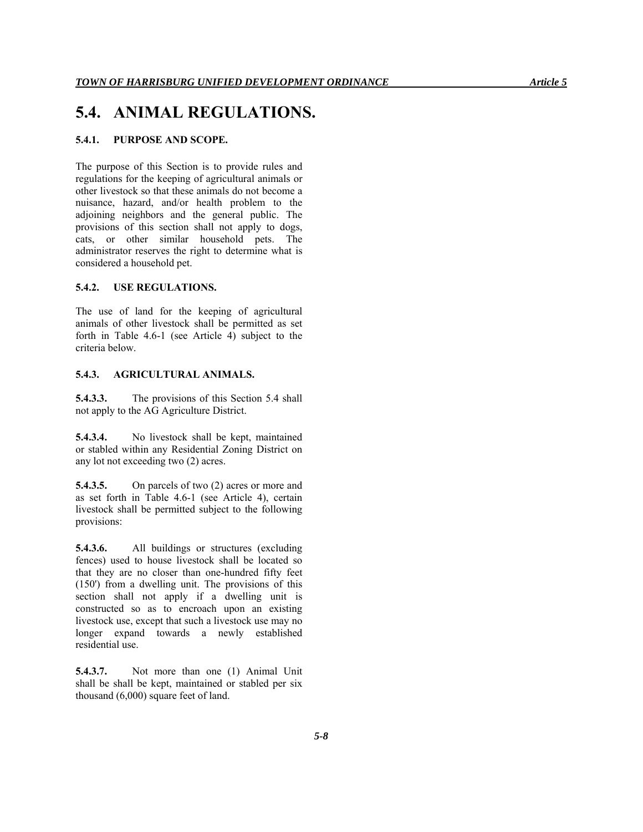# **5.4. ANIMAL REGULATIONS.**

#### **5.4.1. PURPOSE AND SCOPE.**

The purpose of this Section is to provide rules and regulations for the keeping of agricultural animals or other livestock so that these animals do not become a nuisance, hazard, and/or health problem to the adjoining neighbors and the general public. The provisions of this section shall not apply to dogs, cats, or other similar household pets. The administrator reserves the right to determine what is considered a household pet.

### **5.4.2. USE REGULATIONS.**

The use of land for the keeping of agricultural animals of other livestock shall be permitted as set forth in Table 4.6-1 (see Article 4) subject to the criteria below.

#### **5.4.3. AGRICULTURAL ANIMALS.**

**5.4.3.3.** The provisions of this Section 5.4 shall not apply to the AG Agriculture District.

**5.4.3.4.** No livestock shall be kept, maintained or stabled within any Residential Zoning District on any lot not exceeding two (2) acres.

**5.4.3.5.** On parcels of two (2) acres or more and as set forth in Table 4.6-1 (see Article 4), certain livestock shall be permitted subject to the following provisions:

**5.4.3.6.** All buildings or structures (excluding fences) used to house livestock shall be located so that they are no closer than one-hundred fifty feet (150') from a dwelling unit. The provisions of this section shall not apply if a dwelling unit is constructed so as to encroach upon an existing livestock use, except that such a livestock use may no longer expand towards a newly established residential use.

**5.4.3.7.** Not more than one (1) Animal Unit shall be shall be kept, maintained or stabled per six thousand (6,000) square feet of land.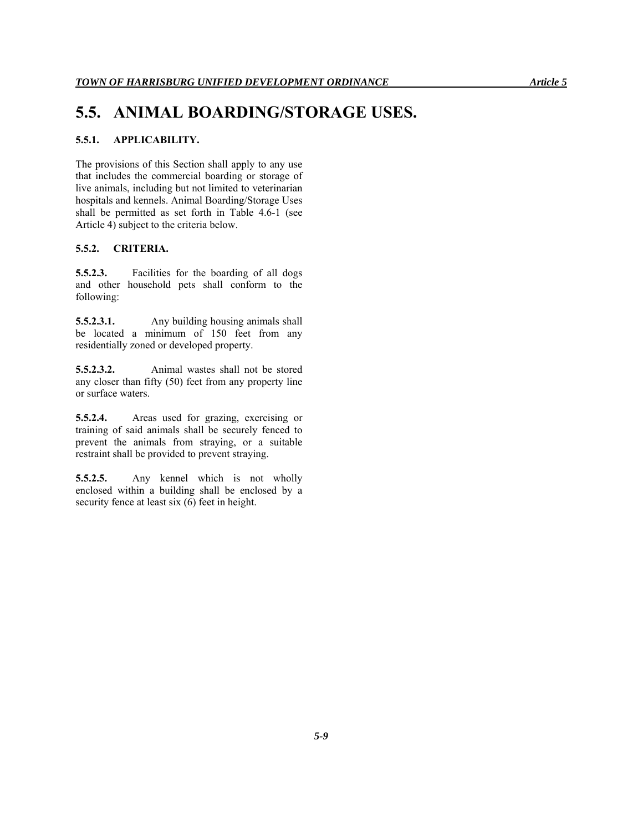# **5.5. ANIMAL BOARDING/STORAGE USES.**

# **5.5.1. APPLICABILITY.**

The provisions of this Section shall apply to any use that includes the commercial boarding or storage of live animals, including but not limited to veterinarian hospitals and kennels. Animal Boarding/Storage Uses shall be permitted as set forth in Table 4.6-1 (see Article 4) subject to the criteria below.

# **5.5.2. CRITERIA.**

**5.5.2.3.** Facilities for the boarding of all dogs and other household pets shall conform to the following:

**5.5.2.3.1.** Any building housing animals shall be located a minimum of 150 feet from any residentially zoned or developed property.

**5.5.2.3.2.** Animal wastes shall not be stored any closer than fifty (50) feet from any property line or surface waters.

**5.5.2.4.** Areas used for grazing, exercising or training of said animals shall be securely fenced to prevent the animals from straying, or a suitable restraint shall be provided to prevent straying.

**5.5.2.5.** Any kennel which is not wholly enclosed within a building shall be enclosed by a security fence at least six (6) feet in height.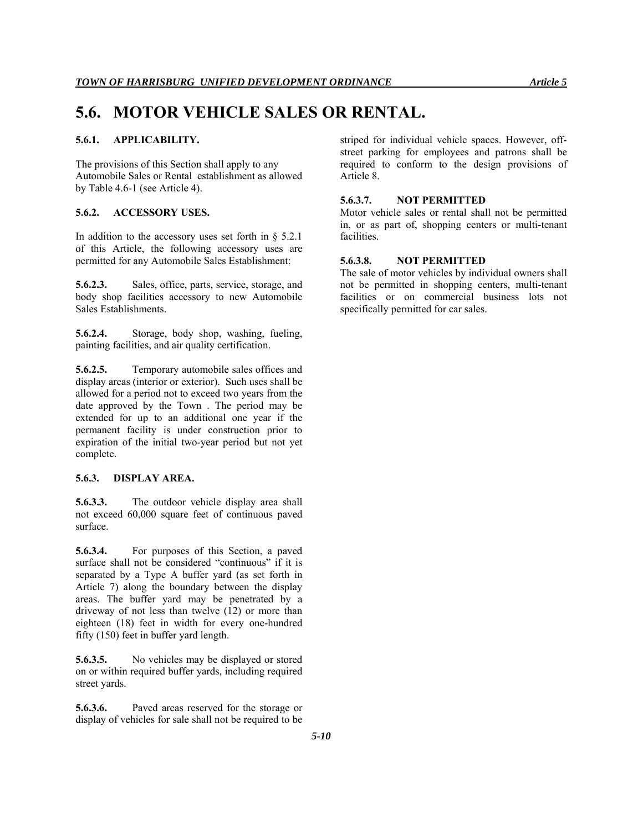# **5.6. MOTOR VEHICLE SALES OR RENTAL.**

### **5.6.1. APPLICABILITY.**

The provisions of this Section shall apply to any Automobile Sales or Rental establishment as allowed by Table 4.6-1 (see Article 4).

#### **5.6.2. ACCESSORY USES.**

In addition to the accessory uses set forth in  $\S$  5.2.1 of this Article, the following accessory uses are permitted for any Automobile Sales Establishment:

**5.6.2.3.** Sales, office, parts, service, storage, and body shop facilities accessory to new Automobile Sales Establishments.

**5.6.2.4.** Storage, body shop, washing, fueling, painting facilities, and air quality certification.

**5.6.2.5.** Temporary automobile sales offices and display areas (interior or exterior). Such uses shall be allowed for a period not to exceed two years from the date approved by the Town . The period may be extended for up to an additional one year if the permanent facility is under construction prior to expiration of the initial two-year period but not yet complete.

#### **5.6.3. DISPLAY AREA.**

**5.6.3.3.** The outdoor vehicle display area shall not exceed 60,000 square feet of continuous paved surface.

**5.6.3.4.** For purposes of this Section, a paved surface shall not be considered "continuous" if it is separated by a Type A buffer yard (as set forth in Article 7) along the boundary between the display areas. The buffer yard may be penetrated by a driveway of not less than twelve (12) or more than eighteen (18) feet in width for every one-hundred fifty (150) feet in buffer yard length.

**5.6.3.5.** No vehicles may be displayed or stored on or within required buffer yards, including required street yards.

**5.6.3.6.** Paved areas reserved for the storage or display of vehicles for sale shall not be required to be striped for individual vehicle spaces. However, offstreet parking for employees and patrons shall be required to conform to the design provisions of Article 8.

#### **5.6.3.7. NOT PERMITTED**

Motor vehicle sales or rental shall not be permitted in, or as part of, shopping centers or multi-tenant facilities.

# **5.6.3.8. NOT PERMITTED**

The sale of motor vehicles by individual owners shall not be permitted in shopping centers, multi-tenant facilities or on commercial business lots not specifically permitted for car sales.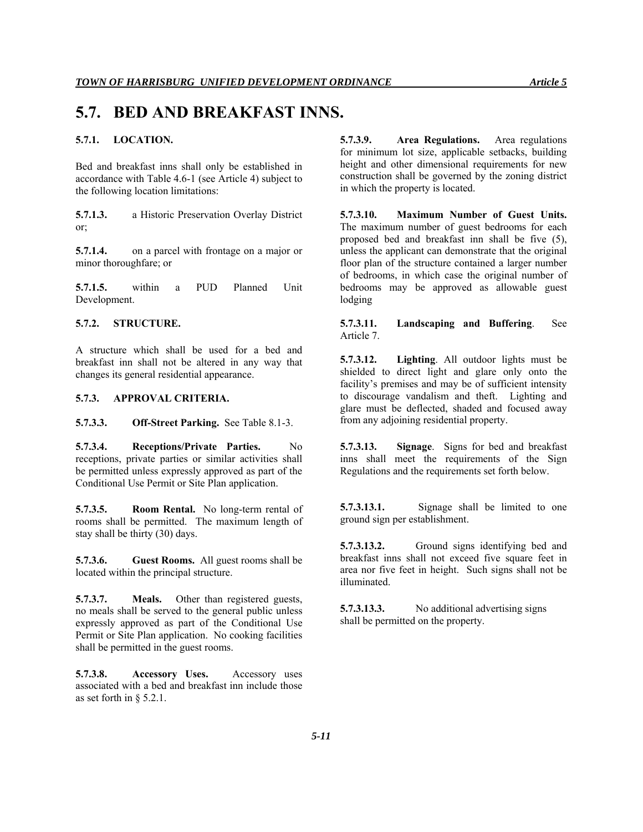# **5.7. BED AND BREAKFAST INNS.**

# **5.7.1. LOCATION.**

Bed and breakfast inns shall only be established in accordance with Table 4.6-1 (see Article 4) subject to the following location limitations:

**5.7.1.3.** a Historic Preservation Overlay District or;

**5.7.1.4.** on a parcel with frontage on a major or minor thoroughfare; or

**5.7.1.5.** within a PUD Planned Unit Development.

#### **5.7.2. STRUCTURE.**

A structure which shall be used for a bed and breakfast inn shall not be altered in any way that changes its general residential appearance.

### **5.7.3. APPROVAL CRITERIA.**

**5.7.3.3. Off-Street Parking.** See Table 8.1-3.

**5.7.3.4. Receptions/Private Parties.** No receptions, private parties or similar activities shall be permitted unless expressly approved as part of the Conditional Use Permit or Site Plan application.

**5.7.3.5. Room Rental.** No long-term rental of rooms shall be permitted. The maximum length of stay shall be thirty (30) days.

**5.7.3.6. Guest Rooms.** All guest rooms shall be located within the principal structure.

**5.7.3.7. Meals.** Other than registered guests, no meals shall be served to the general public unless expressly approved as part of the Conditional Use Permit or Site Plan application. No cooking facilities shall be permitted in the guest rooms.

**5.7.3.8. Accessory Uses.** Accessory uses associated with a bed and breakfast inn include those as set forth in § 5.2.1.

**5.7.3.9. Area Regulations.** Area regulations for minimum lot size, applicable setbacks, building height and other dimensional requirements for new construction shall be governed by the zoning district in which the property is located.

**5.7.3.10. Maximum Number of Guest Units.**  The maximum number of guest bedrooms for each proposed bed and breakfast inn shall be five (5), unless the applicant can demonstrate that the original floor plan of the structure contained a larger number of bedrooms, in which case the original number of bedrooms may be approved as allowable guest lodging

**5.7.3.11. Landscaping and Buffering**. See Article 7.

**5.7.3.12. Lighting**. All outdoor lights must be shielded to direct light and glare only onto the facility's premises and may be of sufficient intensity to discourage vandalism and theft. Lighting and glare must be deflected, shaded and focused away from any adjoining residential property.

**5.7.3.13. Signage**. Signs for bed and breakfast inns shall meet the requirements of the Sign Regulations and the requirements set forth below.

**5.7.3.13.1.** Signage shall be limited to one ground sign per establishment.

**5.7.3.13.2.** Ground signs identifying bed and breakfast inns shall not exceed five square feet in area nor five feet in height. Such signs shall not be illuminated.

**5.7.3.13.3.** No additional advertising signs shall be permitted on the property.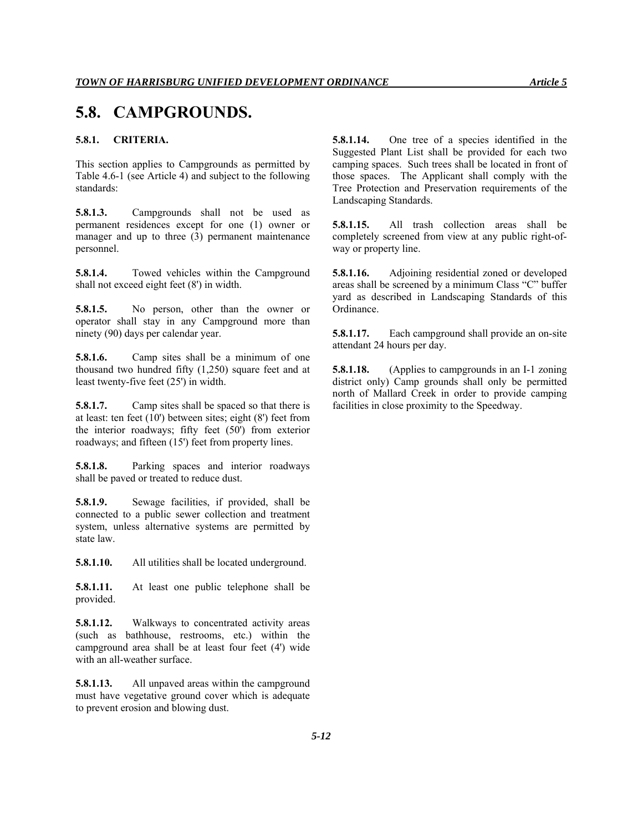# **5.8. CAMPGROUNDS.**

# **5.8.1. CRITERIA.**

This section applies to Campgrounds as permitted by Table 4.6-1 (see Article 4) and subject to the following standards:

**5.8.1.3.** Campgrounds shall not be used as permanent residences except for one (1) owner or manager and up to three (3) permanent maintenance personnel.

**5.8.1.4.** Towed vehicles within the Campground shall not exceed eight feet (8') in width.

**5.8.1.5.** No person, other than the owner or operator shall stay in any Campground more than ninety (90) days per calendar year.

**5.8.1.6.** Camp sites shall be a minimum of one thousand two hundred fifty (1,250) square feet and at least twenty-five feet (25') in width.

**5.8.1.7.** Camp sites shall be spaced so that there is at least: ten feet (10') between sites; eight (8') feet from the interior roadways; fifty feet (50') from exterior roadways; and fifteen (15') feet from property lines.

**5.8.1.8.** Parking spaces and interior roadways shall be paved or treated to reduce dust.

**5.8.1.9.** Sewage facilities, if provided, shall be connected to a public sewer collection and treatment system, unless alternative systems are permitted by state law.

**5.8.1.10.** All utilities shall be located underground.

**5.8.1.11.** At least one public telephone shall be provided.

**5.8.1.12.** Walkways to concentrated activity areas (such as bathhouse, restrooms, etc.) within the campground area shall be at least four feet (4') wide with an all-weather surface.

**5.8.1.13.** All unpaved areas within the campground must have vegetative ground cover which is adequate to prevent erosion and blowing dust.

**5.8.1.14.** One tree of a species identified in the Suggested Plant List shall be provided for each two camping spaces. Such trees shall be located in front of those spaces. The Applicant shall comply with the Tree Protection and Preservation requirements of the Landscaping Standards.

**5.8.1.15.** All trash collection areas shall be completely screened from view at any public right-ofway or property line.

**5.8.1.16.** Adjoining residential zoned or developed areas shall be screened by a minimum Class "C" buffer yard as described in Landscaping Standards of this Ordinance.

**5.8.1.17.** Each campground shall provide an on-site attendant 24 hours per day.

**5.8.1.18.** (Applies to campgrounds in an I-1 zoning district only) Camp grounds shall only be permitted north of Mallard Creek in order to provide camping facilities in close proximity to the Speedway.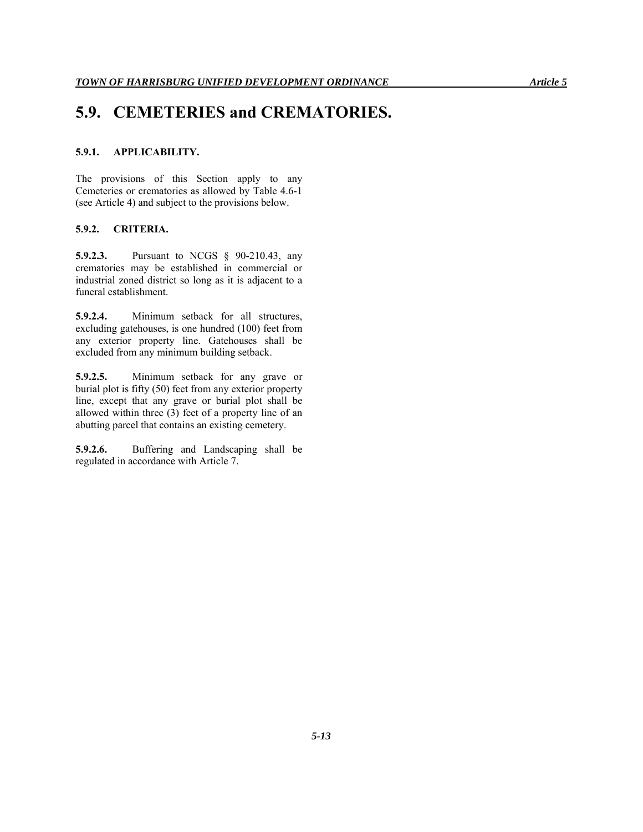# **5.9. CEMETERIES and CREMATORIES.**

# **5.9.1. APPLICABILITY.**

The provisions of this Section apply to any Cemeteries or crematories as allowed by Table 4.6-1 (see Article 4) and subject to the provisions below.

#### **5.9.2. CRITERIA.**

**5.9.2.3.** Pursuant to NCGS § 90-210.43, any crematories may be established in commercial or industrial zoned district so long as it is adjacent to a funeral establishment.

**5.9.2.4.** Minimum setback for all structures, excluding gatehouses, is one hundred (100) feet from any exterior property line. Gatehouses shall be excluded from any minimum building setback.

**5.9.2.5.** Minimum setback for any grave or burial plot is fifty (50) feet from any exterior property line, except that any grave or burial plot shall be allowed within three (3) feet of a property line of an abutting parcel that contains an existing cemetery.

**5.9.2.6.** Buffering and Landscaping shall be regulated in accordance with Article 7.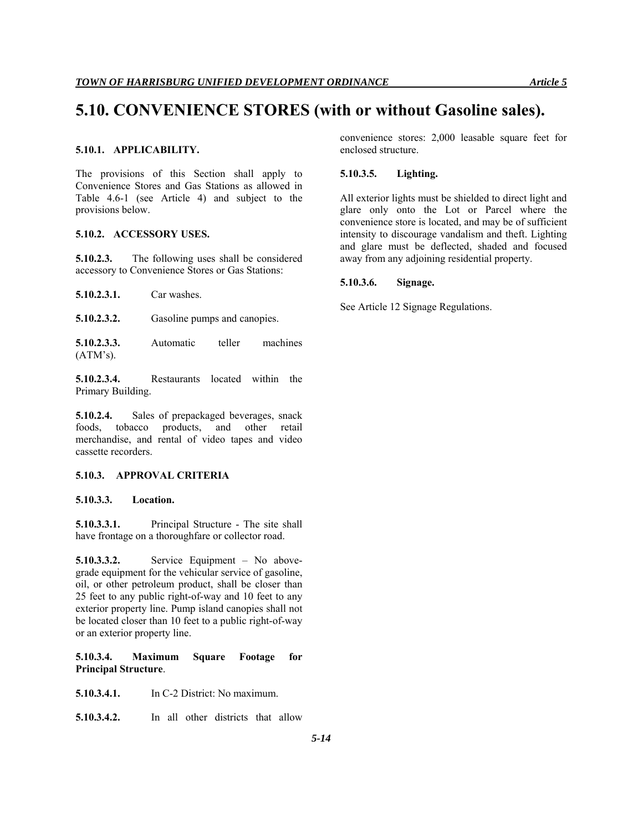# **5.10. CONVENIENCE STORES (with or without Gasoline sales).**

**5.10.1. APPLICABILITY.** 

The provisions of this Section shall apply to Convenience Stores and Gas Stations as allowed in Table 4.6-1 (see Article 4) and subject to the provisions below.

#### **5.10.2. ACCESSORY USES.**

**5.10.2.3.** The following uses shall be considered accessory to Convenience Stores or Gas Stations:

**5.10.2.3.1.** Car washes.

**5.10.2.3.2.** Gasoline pumps and canopies.

**5.10.2.3.3.** Automatic teller machines  $(ATM's).$ 

**5.10.2.3.4.** Restaurants located within the Primary Building.

**5.10.2.4.** Sales of prepackaged beverages, snack foods, tobacco products, and other retail merchandise, and rental of video tapes and video cassette recorders.

#### **5.10.3. APPROVAL CRITERIA**

### **5.10.3.3. Location.**

**5.10.3.3.1.** Principal Structure - The site shall have frontage on a thoroughfare or collector road.

**5.10.3.3.2.** Service Equipment – No abovegrade equipment for the vehicular service of gasoline, oil, or other petroleum product, shall be closer than 25 feet to any public right-of-way and 10 feet to any exterior property line. Pump island canopies shall not be located closer than 10 feet to a public right-of-way or an exterior property line.

**5.10.3.4. Maximum Square Footage for Principal Structure**.

**5.10.3.4.1.** In C-2 District: No maximum.

**5.10.3.4.2.** In all other districts that allow

convenience stores: 2,000 leasable square feet for enclosed structure.

### **5.10.3.5. Lighting.**

All exterior lights must be shielded to direct light and glare only onto the Lot or Parcel where the convenience store is located, and may be of sufficient intensity to discourage vandalism and theft. Lighting and glare must be deflected, shaded and focused away from any adjoining residential property.

#### **5.10.3.6. Signage.**

See Article 12 Signage Regulations.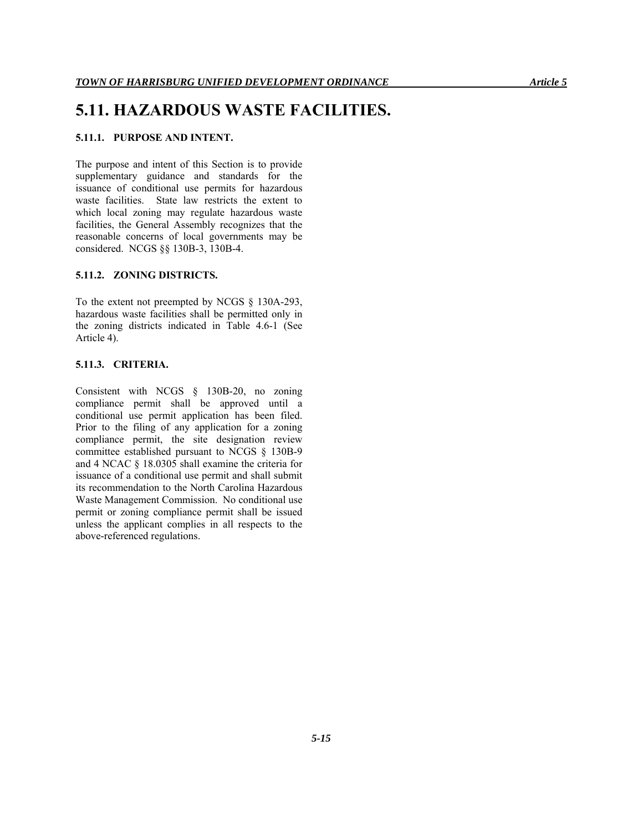# **5.11. HAZARDOUS WASTE FACILITIES.**

# **5.11.1. PURPOSE AND INTENT.**

The purpose and intent of this Section is to provide supplementary guidance and standards for the issuance of conditional use permits for hazardous waste facilities. State law restricts the extent to which local zoning may regulate hazardous waste facilities, the General Assembly recognizes that the reasonable concerns of local governments may be considered. NCGS §§ 130B-3, 130B-4.

### **5.11.2. ZONING DISTRICTS.**

To the extent not preempted by NCGS § 130A-293, hazardous waste facilities shall be permitted only in the zoning districts indicated in Table 4.6-1 (See Article 4).

# **5.11.3. CRITERIA.**

Consistent with NCGS § 130B-20, no zoning compliance permit shall be approved until a conditional use permit application has been filed. Prior to the filing of any application for a zoning compliance permit, the site designation review committee established pursuant to NCGS § 130B-9 and 4 NCAC § 18.0305 shall examine the criteria for issuance of a conditional use permit and shall submit its recommendation to the North Carolina Hazardous Waste Management Commission. No conditional use permit or zoning compliance permit shall be issued unless the applicant complies in all respects to the above-referenced regulations.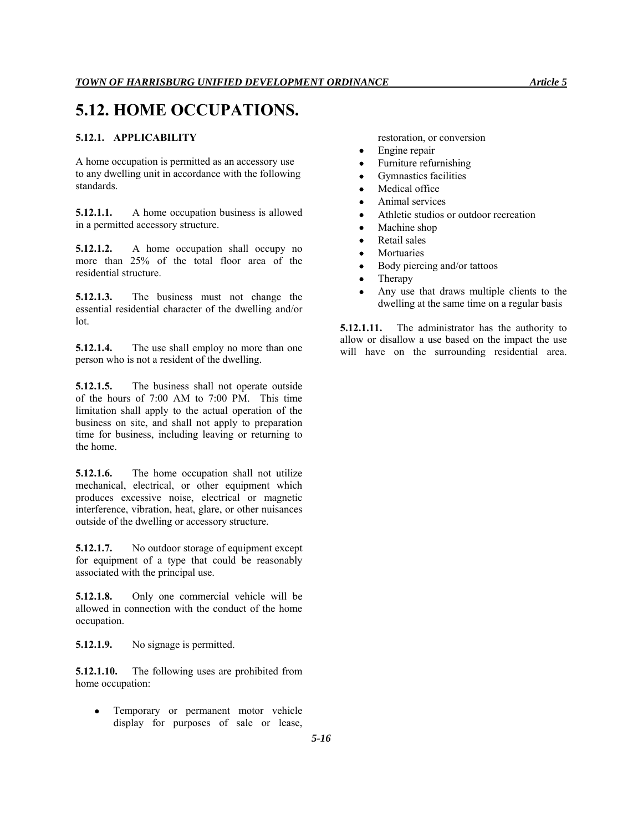# **5.12. HOME OCCUPATIONS.**

# **5.12.1. APPLICABILITY**

A home occupation is permitted as an accessory use to any dwelling unit in accordance with the following standards.

**5.12.1.1.** A home occupation business is allowed in a permitted accessory structure.

**5.12.1.2.** A home occupation shall occupy no more than 25% of the total floor area of the residential structure.

**5.12.1.3.** The business must not change the essential residential character of the dwelling and/or lot.

**5.12.1.4.** The use shall employ no more than one person who is not a resident of the dwelling.

**5.12.1.5.** The business shall not operate outside of the hours of 7:00 AM to 7:00 PM. This time limitation shall apply to the actual operation of the business on site, and shall not apply to preparation time for business, including leaving or returning to the home.

**5.12.1.6.** The home occupation shall not utilize mechanical, electrical, or other equipment which produces excessive noise, electrical or magnetic interference, vibration, heat, glare, or other nuisances outside of the dwelling or accessory structure.

**5.12.1.7.** No outdoor storage of equipment except for equipment of a type that could be reasonably associated with the principal use.

**5.12.1.8.** Only one commercial vehicle will be allowed in connection with the conduct of the home occupation.

**5.12.1.9.** No signage is permitted.

**5.12.1.10.** The following uses are prohibited from home occupation:

 Temporary or permanent motor vehicle display for purposes of sale or lease, restoration, or conversion

- Engine repair
- Furniture refurnishing
- Gymnastics facilities
- Medical office
- Animal services
- Athletic studios or outdoor recreation
- Machine shop
- Retail sales
- Mortuaries
- Body piercing and/or tattoos
- Therapy
- Any use that draws multiple clients to the dwelling at the same time on a regular basis

**5.12.1.11.** The administrator has the authority to allow or disallow a use based on the impact the use will have on the surrounding residential area.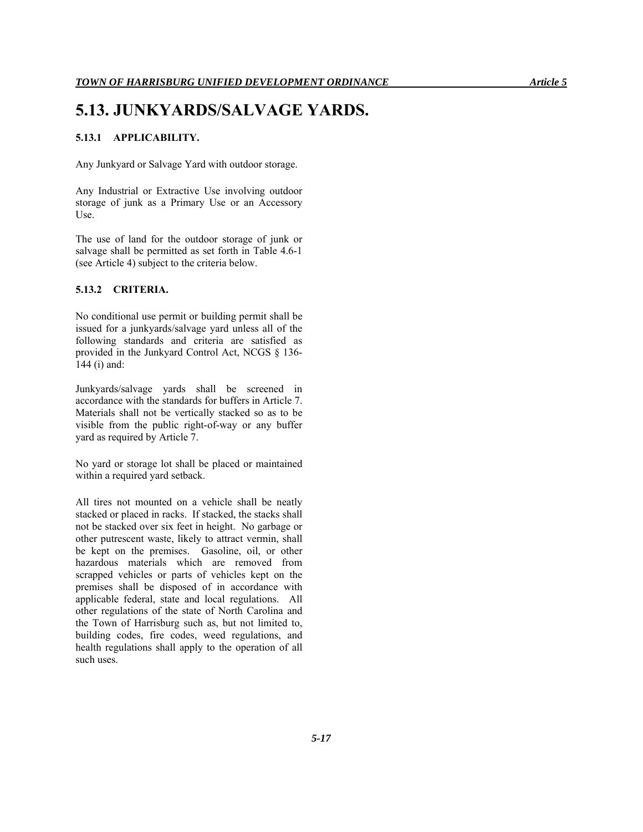# **5.13. JUNKYARDS/SALVAGE YARDS.**

# **5.13.1 APPLICABILITY.**

Any Junkyard or Salvage Yard with outdoor storage.

Any Industrial or Extractive Use involving outdoor storage of junk as a Primary Use or an Accessory Use.

The use of land for the outdoor storage of junk or salvage shall be permitted as set forth in Table 4.6-1 (see Article 4) subject to the criteria below.

# **5.13.2 CRITERIA.**

No conditional use permit or building permit shall be issued for a junkyards/salvage yard unless all of the following standards and criteria are satisfied as provided in the Junkyard Control Act, NCGS § 136- 144 (i) and:

Junkyards/salvage yards shall be screened in accordance with the standards for buffers in Article 7. Materials shall not be vertically stacked so as to be visible from the public right-of-way or any buffer yard as required by Article 7.

No yard or storage lot shall be placed or maintained within a required yard setback.

All tires not mounted on a vehicle shall be neatly stacked or placed in racks. If stacked, the stacks shall not be stacked over six feet in height. No garbage or other putrescent waste, likely to attract vermin, shall be kept on the premises. Gasoline, oil, or other hazardous materials which are removed from scrapped vehicles or parts of vehicles kept on the premises shall be disposed of in accordance with applicable federal, state and local regulations. All other regulations of the state of North Carolina and the Town of Harrisburg such as, but not limited to, building codes, fire codes, weed regulations, and health regulations shall apply to the operation of all such uses.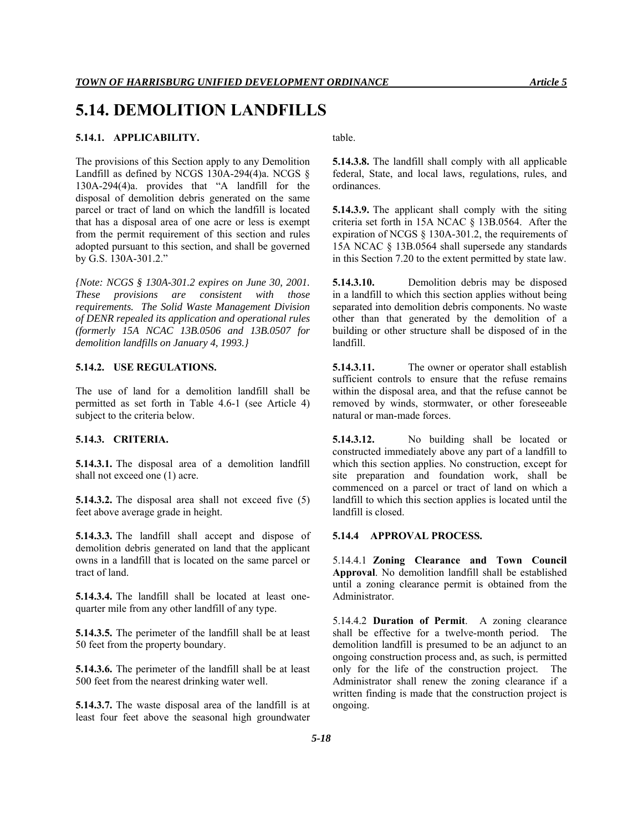# **5.14.1. APPLICABILITY.**

The provisions of this Section apply to any Demolition Landfill as defined by NCGS 130A-294(4)a. NCGS § 130A-294(4)a. provides that "A landfill for the disposal of demolition debris generated on the same parcel or tract of land on which the landfill is located that has a disposal area of one acre or less is exempt from the permit requirement of this section and rules adopted pursuant to this section, and shall be governed by G.S. 130A-301.2."

*{Note: NCGS § 130A-301.2 expires on June 30, 2001. These provisions are consistent with those requirements. The Solid Waste Management Division of DENR repealed its application and operational rules (formerly 15A NCAC 13B.0506 and 13B.0507 for demolition landfills on January 4, 1993.}* 

# **5.14.2. USE REGULATIONS.**

The use of land for a demolition landfill shall be permitted as set forth in Table 4.6-1 (see Article 4) subject to the criteria below.

# **5.14.3. CRITERIA.**

**5.14.3.1.** The disposal area of a demolition landfill shall not exceed one (1) acre.

**5.14.3.2.** The disposal area shall not exceed five (5) feet above average grade in height.

**5.14.3.3.** The landfill shall accept and dispose of demolition debris generated on land that the applicant owns in a landfill that is located on the same parcel or tract of land.

**5.14.3.4.** The landfill shall be located at least onequarter mile from any other landfill of any type.

**5.14.3.5.** The perimeter of the landfill shall be at least 50 feet from the property boundary.

**5.14.3.6.** The perimeter of the landfill shall be at least 500 feet from the nearest drinking water well.

**5.14.3.7.** The waste disposal area of the landfill is at least four feet above the seasonal high groundwater table.

**5.14.3.8.** The landfill shall comply with all applicable federal, State, and local laws, regulations, rules, and ordinances.

**5.14.3.9.** The applicant shall comply with the siting criteria set forth in 15A NCAC § 13B.0564. After the expiration of NCGS § 130A-301.2, the requirements of 15A NCAC § 13B.0564 shall supersede any standards in this Section 7.20 to the extent permitted by state law.

**5.14.3.10.** Demolition debris may be disposed in a landfill to which this section applies without being separated into demolition debris components. No waste other than that generated by the demolition of a building or other structure shall be disposed of in the landfill.

**5.14.3.11.** The owner or operator shall establish sufficient controls to ensure that the refuse remains within the disposal area, and that the refuse cannot be removed by winds, stormwater, or other foreseeable natural or man-made forces.

**5.14.3.12.** No building shall be located or constructed immediately above any part of a landfill to which this section applies. No construction, except for site preparation and foundation work, shall be commenced on a parcel or tract of land on which a landfill to which this section applies is located until the landfill is closed.

### **5.14.4 APPROVAL PROCESS.**

5.14.4.1 **Zoning Clearance and Town Council Approval**. No demolition landfill shall be established until a zoning clearance permit is obtained from the Administrator.

5.14.4.2 **Duration of Permit**. A zoning clearance shall be effective for a twelve-month period. The demolition landfill is presumed to be an adjunct to an ongoing construction process and, as such, is permitted only for the life of the construction project. The Administrator shall renew the zoning clearance if a written finding is made that the construction project is ongoing.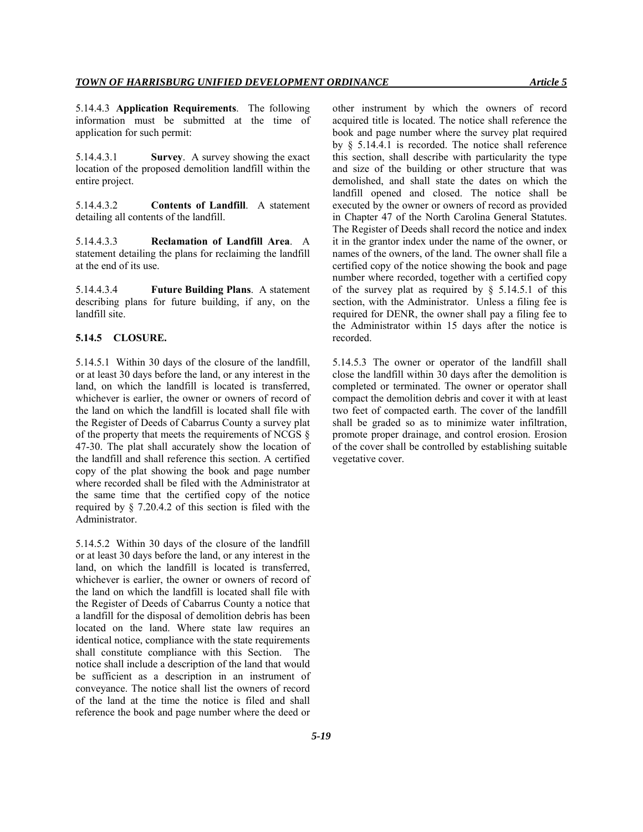5.14.4.3 **Application Requirements**. The following information must be submitted at the time of application for such permit:

5.14.4.3.1 **Survey**. A survey showing the exact location of the proposed demolition landfill within the entire project.

5.14.4.3.2 **Contents of Landfill**. A statement detailing all contents of the landfill.

5.14.4.3.3 **Reclamation of Landfill Area**. A statement detailing the plans for reclaiming the landfill at the end of its use.

5.14.4.3.4 **Future Building Plans**. A statement describing plans for future building, if any, on the landfill site.

#### **5.14.5 CLOSURE.**

5.14.5.1 Within 30 days of the closure of the landfill, or at least 30 days before the land, or any interest in the land, on which the landfill is located is transferred, whichever is earlier, the owner or owners of record of the land on which the landfill is located shall file with the Register of Deeds of Cabarrus County a survey plat of the property that meets the requirements of NCGS § 47-30. The plat shall accurately show the location of the landfill and shall reference this section. A certified copy of the plat showing the book and page number where recorded shall be filed with the Administrator at the same time that the certified copy of the notice required by § 7.20.4.2 of this section is filed with the Administrator.

5.14.5.2 Within 30 days of the closure of the landfill or at least 30 days before the land, or any interest in the land, on which the landfill is located is transferred, whichever is earlier, the owner or owners of record of the land on which the landfill is located shall file with the Register of Deeds of Cabarrus County a notice that a landfill for the disposal of demolition debris has been located on the land. Where state law requires an identical notice, compliance with the state requirements shall constitute compliance with this Section. The notice shall include a description of the land that would be sufficient as a description in an instrument of conveyance. The notice shall list the owners of record of the land at the time the notice is filed and shall reference the book and page number where the deed or other instrument by which the owners of record acquired title is located. The notice shall reference the book and page number where the survey plat required by § 5.14.4.1 is recorded. The notice shall reference this section, shall describe with particularity the type and size of the building or other structure that was demolished, and shall state the dates on which the landfill opened and closed. The notice shall be executed by the owner or owners of record as provided in Chapter 47 of the North Carolina General Statutes. The Register of Deeds shall record the notice and index it in the grantor index under the name of the owner, or names of the owners, of the land. The owner shall file a certified copy of the notice showing the book and page number where recorded, together with a certified copy of the survey plat as required by  $\S$  5.14.5.1 of this section, with the Administrator. Unless a filing fee is required for DENR, the owner shall pay a filing fee to the Administrator within 15 days after the notice is recorded.

5.14.5.3 The owner or operator of the landfill shall close the landfill within 30 days after the demolition is completed or terminated. The owner or operator shall compact the demolition debris and cover it with at least two feet of compacted earth. The cover of the landfill shall be graded so as to minimize water infiltration, promote proper drainage, and control erosion. Erosion of the cover shall be controlled by establishing suitable vegetative cover.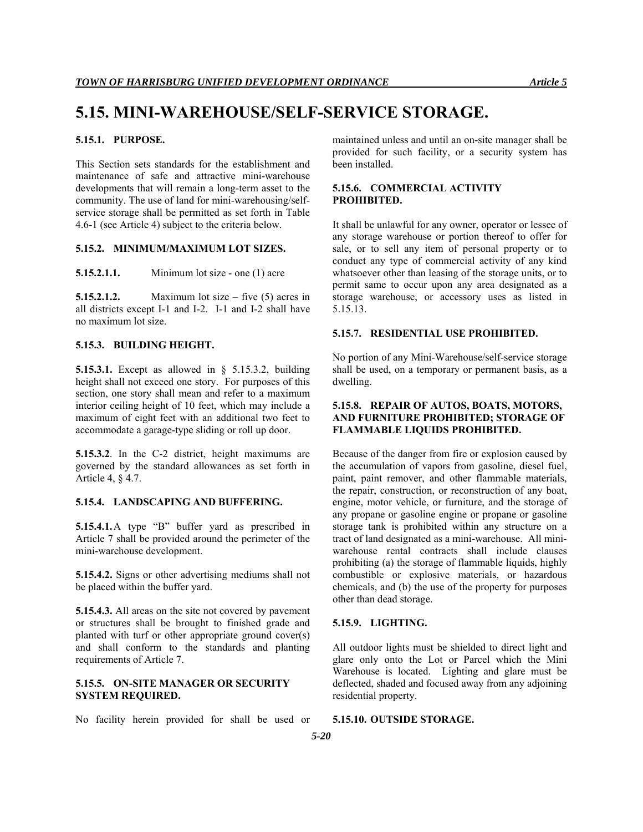# **5.15. MINI-WAREHOUSE/SELF-SERVICE STORAGE.**

# **5.15.1. PURPOSE.**

This Section sets standards for the establishment and maintenance of safe and attractive mini-warehouse developments that will remain a long-term asset to the community. The use of land for mini-warehousing/selfservice storage shall be permitted as set forth in Table 4.6-1 (see Article 4) subject to the criteria below.

### **5.15.2. MINIMUM/MAXIMUM LOT SIZES.**

**5.15.2.1.1.** Minimum lot size - one (1) acre

**5.15.2.1.2.** Maximum lot size – five (5) acres in all districts except I-1 and I-2. I-1 and I-2 shall have no maximum lot size.

### **5.15.3. BUILDING HEIGHT.**

**5.15.3.1.** Except as allowed in § 5.15.3.2, building height shall not exceed one story. For purposes of this section, one story shall mean and refer to a maximum interior ceiling height of 10 feet, which may include a maximum of eight feet with an additional two feet to accommodate a garage-type sliding or roll up door.

**5.15.3.2**. In the C-2 district, height maximums are governed by the standard allowances as set forth in Article 4, § 4.7.

### **5.15.4. LANDSCAPING AND BUFFERING.**

**5.15.4.1.**A type "B" buffer yard as prescribed in Article 7 shall be provided around the perimeter of the mini-warehouse development.

**5.15.4.2.** Signs or other advertising mediums shall not be placed within the buffer yard.

**5.15.4.3.** All areas on the site not covered by pavement or structures shall be brought to finished grade and planted with turf or other appropriate ground cover(s) and shall conform to the standards and planting requirements of Article 7.

# **5.15.5. ON-SITE MANAGER OR SECURITY SYSTEM REQUIRED.**

No facility herein provided for shall be used or

maintained unless and until an on-site manager shall be provided for such facility, or a security system has been installed.

# **5.15.6. COMMERCIAL ACTIVITY PROHIBITED.**

It shall be unlawful for any owner, operator or lessee of any storage warehouse or portion thereof to offer for sale, or to sell any item of personal property or to conduct any type of commercial activity of any kind whatsoever other than leasing of the storage units, or to permit same to occur upon any area designated as a storage warehouse, or accessory uses as listed in 5.15.13.

#### **5.15.7. RESIDENTIAL USE PROHIBITED.**

No portion of any Mini-Warehouse/self-service storage shall be used, on a temporary or permanent basis, as a dwelling.

### **5.15.8. REPAIR OF AUTOS, BOATS, MOTORS, AND FURNITURE PROHIBITED; STORAGE OF FLAMMABLE LIQUIDS PROHIBITED.**

Because of the danger from fire or explosion caused by the accumulation of vapors from gasoline, diesel fuel, paint, paint remover, and other flammable materials, the repair, construction, or reconstruction of any boat, engine, motor vehicle, or furniture, and the storage of any propane or gasoline engine or propane or gasoline storage tank is prohibited within any structure on a tract of land designated as a mini-warehouse. All miniwarehouse rental contracts shall include clauses prohibiting (a) the storage of flammable liquids, highly combustible or explosive materials, or hazardous chemicals, and (b) the use of the property for purposes other than dead storage.

#### **5.15.9. LIGHTING.**

All outdoor lights must be shielded to direct light and glare only onto the Lot or Parcel which the Mini Warehouse is located. Lighting and glare must be deflected, shaded and focused away from any adjoining residential property.

# **5.15.10. OUTSIDE STORAGE.**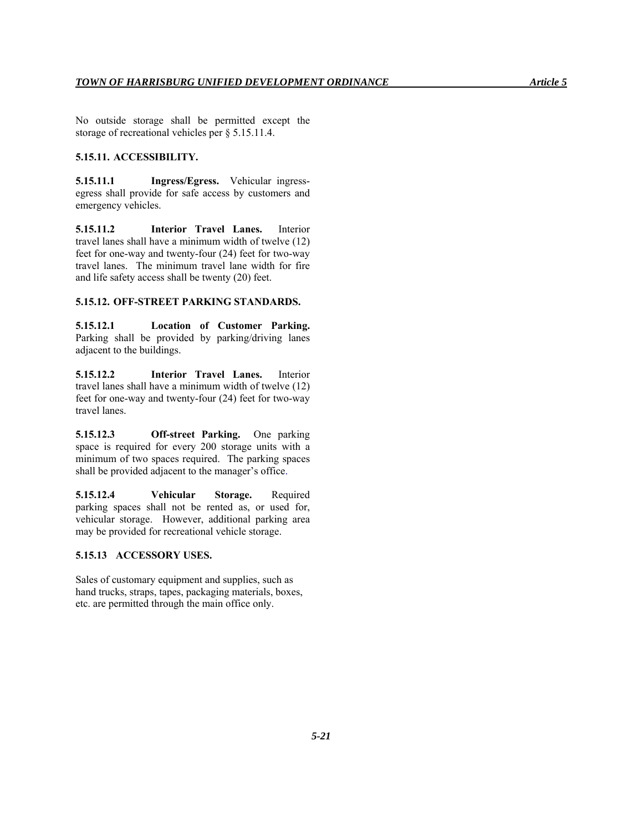No outside storage shall be permitted except the storage of recreational vehicles per § 5.15.11.4.

# **5.15.11. ACCESSIBILITY.**

**5.15.11.1 Ingress/Egress.** Vehicular ingressegress shall provide for safe access by customers and emergency vehicles.

**5.15.11.2 Interior Travel Lanes.** Interior travel lanes shall have a minimum width of twelve (12) feet for one-way and twenty-four (24) feet for two-way travel lanes. The minimum travel lane width for fire and life safety access shall be twenty (20) feet.

#### **5.15.12. OFF-STREET PARKING STANDARDS.**

**5.15.12.1 Location of Customer Parking.** Parking shall be provided by parking/driving lanes adjacent to the buildings.

**5.15.12.2 Interior Travel Lanes.** Interior travel lanes shall have a minimum width of twelve (12) feet for one-way and twenty-four (24) feet for two-way travel lanes.

**5.15.12.3 Off-street Parking.** One parking space is required for every 200 storage units with a minimum of two spaces required. The parking spaces shall be provided adjacent to the manager's office.

**5.15.12.4 Vehicular Storage.** Required parking spaces shall not be rented as, or used for, vehicular storage. However, additional parking area may be provided for recreational vehicle storage.

### **5.15.13 ACCESSORY USES.**

Sales of customary equipment and supplies, such as hand trucks, straps, tapes, packaging materials, boxes, etc. are permitted through the main office only.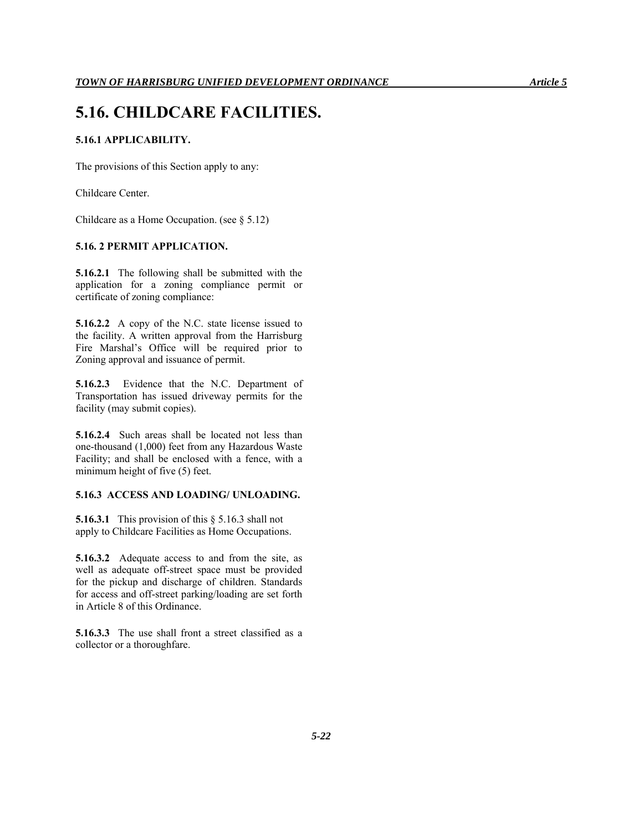# **5.16. CHILDCARE FACILITIES.**

# **5.16.1 APPLICABILITY.**

The provisions of this Section apply to any:

Childcare Center.

Childcare as a Home Occupation. (see § 5.12)

#### **5.16. 2 PERMIT APPLICATION.**

**5.16.2.1** The following shall be submitted with the application for a zoning compliance permit or certificate of zoning compliance:

**5.16.2.2** A copy of the N.C. state license issued to the facility. A written approval from the Harrisburg Fire Marshal's Office will be required prior to Zoning approval and issuance of permit.

**5.16.2.3** Evidence that the N.C. Department of Transportation has issued driveway permits for the facility (may submit copies).

**5.16.2.4** Such areas shall be located not less than one-thousand (1,000) feet from any Hazardous Waste Facility; and shall be enclosed with a fence, with a minimum height of five (5) feet.

### **5.16.3 ACCESS AND LOADING/ UNLOADING.**

**5.16.3.1** This provision of this § 5.16.3 shall not apply to Childcare Facilities as Home Occupations.

**5.16.3.2** Adequate access to and from the site, as well as adequate off-street space must be provided for the pickup and discharge of children. Standards for access and off-street parking/loading are set forth in Article 8 of this Ordinance.

**5.16.3.3** The use shall front a street classified as a collector or a thoroughfare.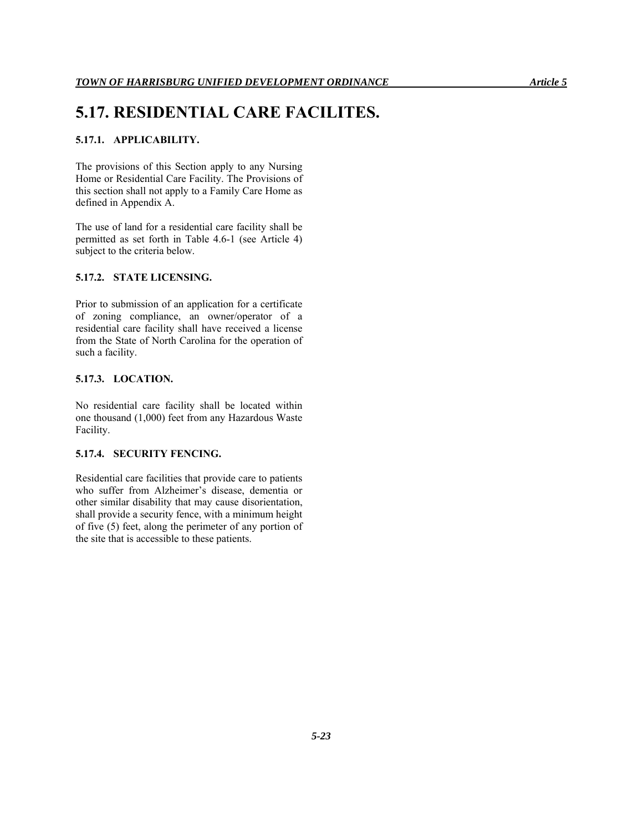# **5.17. RESIDENTIAL CARE FACILITES.**

# **5.17.1. APPLICABILITY.**

The provisions of this Section apply to any Nursing Home or Residential Care Facility. The Provisions of this section shall not apply to a Family Care Home as defined in Appendix A.

The use of land for a residential care facility shall be permitted as set forth in Table 4.6-1 (see Article 4) subject to the criteria below.

#### **5.17.2. STATE LICENSING.**

Prior to submission of an application for a certificate of zoning compliance, an owner/operator of a residential care facility shall have received a license from the State of North Carolina for the operation of such a facility.

#### **5.17.3. LOCATION.**

No residential care facility shall be located within one thousand (1,000) feet from any Hazardous Waste Facility.

#### **5.17.4. SECURITY FENCING.**

Residential care facilities that provide care to patients who suffer from Alzheimer's disease, dementia or other similar disability that may cause disorientation, shall provide a security fence, with a minimum height of five (5) feet, along the perimeter of any portion of the site that is accessible to these patients.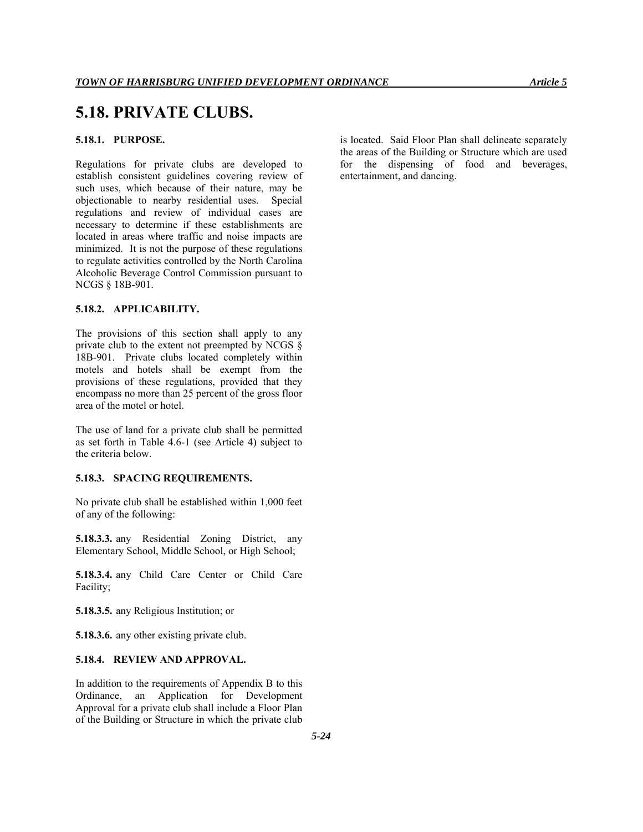# **5.18. PRIVATE CLUBS.**

# **5.18.1. PURPOSE.**

Regulations for private clubs are developed to establish consistent guidelines covering review of such uses, which because of their nature, may be objectionable to nearby residential uses. Special regulations and review of individual cases are necessary to determine if these establishments are located in areas where traffic and noise impacts are minimized. It is not the purpose of these regulations to regulate activities controlled by the North Carolina Alcoholic Beverage Control Commission pursuant to NCGS § 18B-901.

### **5.18.2. APPLICABILITY.**

The provisions of this section shall apply to any private club to the extent not preempted by NCGS § 18B-901. Private clubs located completely within motels and hotels shall be exempt from the provisions of these regulations, provided that they encompass no more than 25 percent of the gross floor area of the motel or hotel.

The use of land for a private club shall be permitted as set forth in Table 4.6-1 (see Article 4) subject to the criteria below.

#### **5.18.3. SPACING REQUIREMENTS.**

No private club shall be established within 1,000 feet of any of the following:

**5.18.3.3.** any Residential Zoning District, any Elementary School, Middle School, or High School;

**5.18.3.4.** any Child Care Center or Child Care Facility;

**5.18.3.5.** any Religious Institution; or

**5.18.3.6.** any other existing private club.

# **5.18.4. REVIEW AND APPROVAL.**

In addition to the requirements of Appendix B to this Ordinance, an Application for Development Approval for a private club shall include a Floor Plan of the Building or Structure in which the private club is located. Said Floor Plan shall delineate separately the areas of the Building or Structure which are used for the dispensing of food and beverages, entertainment, and dancing.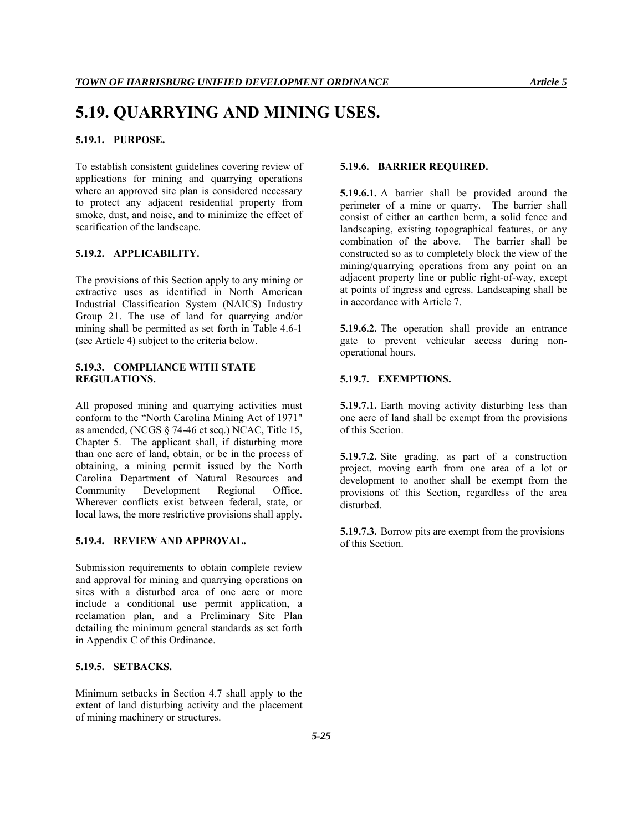# **5.19. QUARRYING AND MINING USES.**

# **5.19.1. PURPOSE.**

To establish consistent guidelines covering review of applications for mining and quarrying operations where an approved site plan is considered necessary to protect any adjacent residential property from smoke, dust, and noise, and to minimize the effect of scarification of the landscape.

#### **5.19.2. APPLICABILITY.**

The provisions of this Section apply to any mining or extractive uses as identified in North American Industrial Classification System (NAICS) Industry Group 21. The use of land for quarrying and/or mining shall be permitted as set forth in Table 4.6-1 (see Article 4) subject to the criteria below.

# **5.19.3. COMPLIANCE WITH STATE REGULATIONS.**

All proposed mining and quarrying activities must conform to the "North Carolina Mining Act of 1971" as amended, (NCGS § 74-46 et seq.) NCAC, Title 15, Chapter 5. The applicant shall, if disturbing more than one acre of land, obtain, or be in the process of obtaining, a mining permit issued by the North Carolina Department of Natural Resources and Community Development Regional Office. Wherever conflicts exist between federal, state, or local laws, the more restrictive provisions shall apply.

#### **5.19.4. REVIEW AND APPROVAL.**

Submission requirements to obtain complete review and approval for mining and quarrying operations on sites with a disturbed area of one acre or more include a conditional use permit application, a reclamation plan, and a Preliminary Site Plan detailing the minimum general standards as set forth in Appendix C of this Ordinance.

# **5.19.5. SETBACKS.**

Minimum setbacks in Section 4.7 shall apply to the extent of land disturbing activity and the placement of mining machinery or structures.

#### **5.19.6. BARRIER REQUIRED.**

**5.19.6.1.** A barrier shall be provided around the perimeter of a mine or quarry. The barrier shall consist of either an earthen berm, a solid fence and landscaping, existing topographical features, or any combination of the above. The barrier shall be constructed so as to completely block the view of the mining/quarrying operations from any point on an adjacent property line or public right-of-way, except at points of ingress and egress. Landscaping shall be in accordance with Article 7.

**5.19.6.2.** The operation shall provide an entrance gate to prevent vehicular access during nonoperational hours.

#### **5.19.7. EXEMPTIONS.**

**5.19.7.1.** Earth moving activity disturbing less than one acre of land shall be exempt from the provisions of this Section.

**5.19.7.2.** Site grading, as part of a construction project, moving earth from one area of a lot or development to another shall be exempt from the provisions of this Section, regardless of the area disturbed.

**5.19.7.3.** Borrow pits are exempt from the provisions of this Section.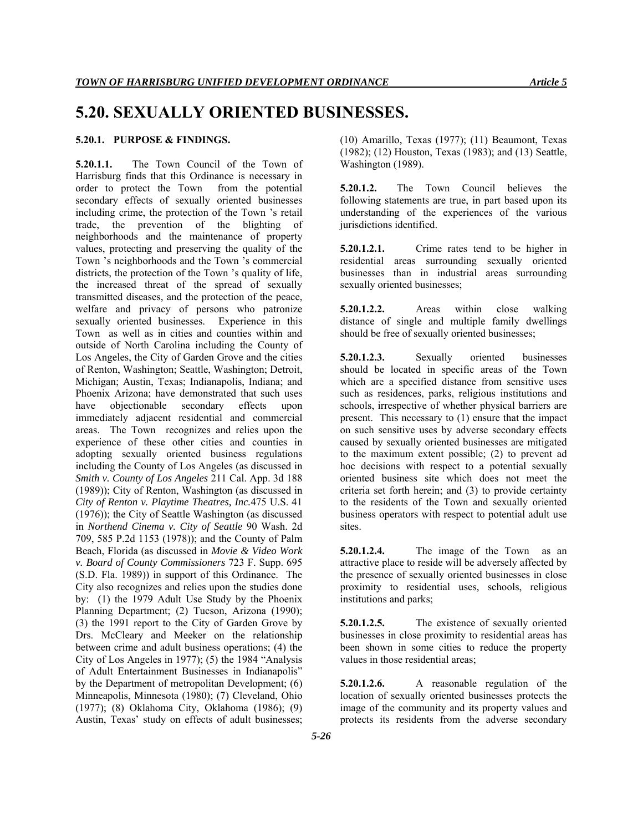# **5.20. SEXUALLY ORIENTED BUSINESSES.**

# **5.20.1. PURPOSE & FINDINGS.**

**5.20.1.1.** The Town Council of the Town of Harrisburg finds that this Ordinance is necessary in order to protect the Town from the potential secondary effects of sexually oriented businesses including crime, the protection of the Town 's retail trade, the prevention of the blighting of neighborhoods and the maintenance of property values, protecting and preserving the quality of the Town 's neighborhoods and the Town 's commercial districts, the protection of the Town 's quality of life, the increased threat of the spread of sexually transmitted diseases, and the protection of the peace, welfare and privacy of persons who patronize sexually oriented businesses. Experience in this Town as well as in cities and counties within and outside of North Carolina including the County of Los Angeles, the City of Garden Grove and the cities of Renton, Washington; Seattle, Washington; Detroit, Michigan; Austin, Texas; Indianapolis, Indiana; and Phoenix Arizona; have demonstrated that such uses have objectionable secondary effects upon immediately adjacent residential and commercial areas. The Town recognizes and relies upon the experience of these other cities and counties in adopting sexually oriented business regulations including the County of Los Angeles (as discussed in *Smith v. County of Los Angeles* 211 Cal. App. 3d 188 (1989)); City of Renton, Washington (as discussed in *City of Renton v. Playtime Theatres, Inc.*475 U.S. 41 (1976)); the City of Seattle Washington (as discussed in *Northend Cinema v. City of Seattle* 90 Wash. 2d 709, 585 P.2d 1153 (1978)); and the County of Palm Beach, Florida (as discussed in *Movie & Video Work v. Board of County Commissioners* 723 F. Supp. 695 (S.D. Fla. 1989)) in support of this Ordinance. The City also recognizes and relies upon the studies done by: (1) the 1979 Adult Use Study by the Phoenix Planning Department; (2) Tucson, Arizona (1990); (3) the 1991 report to the City of Garden Grove by Drs. McCleary and Meeker on the relationship between crime and adult business operations; (4) the City of Los Angeles in 1977); (5) the 1984 "Analysis of Adult Entertainment Businesses in Indianapolis" by the Department of metropolitan Development; (6) Minneapolis, Minnesota (1980); (7) Cleveland, Ohio (1977); (8) Oklahoma City, Oklahoma (1986); (9) Austin, Texas' study on effects of adult businesses;

(10) Amarillo, Texas (1977); (11) Beaumont, Texas (1982); (12) Houston, Texas (1983); and (13) Seattle, Washington (1989).

**5.20.1.2.** The Town Council believes the following statements are true, in part based upon its understanding of the experiences of the various jurisdictions identified.

**5.20.1.2.1.** Crime rates tend to be higher in residential areas surrounding sexually oriented businesses than in industrial areas surrounding sexually oriented businesses;

**5.20.1.2.2.** Areas within close walking distance of single and multiple family dwellings should be free of sexually oriented businesses;

**5.20.1.2.3.** Sexually oriented businesses should be located in specific areas of the Town which are a specified distance from sensitive uses such as residences, parks, religious institutions and schools, irrespective of whether physical barriers are present. This necessary to (1) ensure that the impact on such sensitive uses by adverse secondary effects caused by sexually oriented businesses are mitigated to the maximum extent possible; (2) to prevent ad hoc decisions with respect to a potential sexually oriented business site which does not meet the criteria set forth herein; and (3) to provide certainty to the residents of the Town and sexually oriented business operators with respect to potential adult use sites.

**5.20.1.2.4.** The image of the Town as an attractive place to reside will be adversely affected by the presence of sexually oriented businesses in close proximity to residential uses, schools, religious institutions and parks;

**5.20.1.2.5.** The existence of sexually oriented businesses in close proximity to residential areas has been shown in some cities to reduce the property values in those residential areas;

**5.20.1.2.6.** A reasonable regulation of the location of sexually oriented businesses protects the image of the community and its property values and protects its residents from the adverse secondary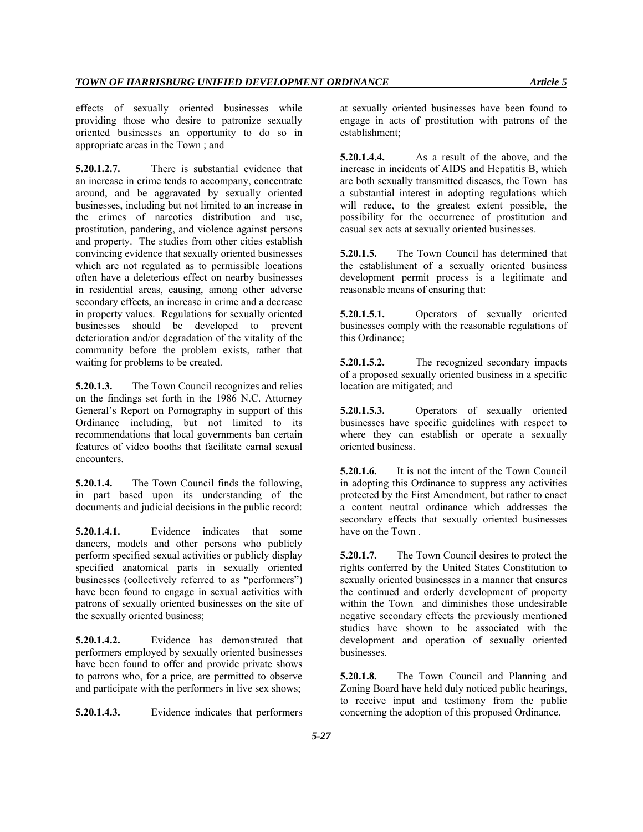effects of sexually oriented businesses while providing those who desire to patronize sexually oriented businesses an opportunity to do so in appropriate areas in the Town ; and

**5.20.1.2.7.** There is substantial evidence that an increase in crime tends to accompany, concentrate around, and be aggravated by sexually oriented businesses, including but not limited to an increase in the crimes of narcotics distribution and use, prostitution, pandering, and violence against persons and property. The studies from other cities establish convincing evidence that sexually oriented businesses which are not regulated as to permissible locations often have a deleterious effect on nearby businesses in residential areas, causing, among other adverse secondary effects, an increase in crime and a decrease in property values. Regulations for sexually oriented businesses should be developed to prevent deterioration and/or degradation of the vitality of the community before the problem exists, rather that waiting for problems to be created.

**5.20.1.3.** The Town Council recognizes and relies on the findings set forth in the 1986 N.C. Attorney General's Report on Pornography in support of this Ordinance including, but not limited to its recommendations that local governments ban certain features of video booths that facilitate carnal sexual encounters.

**5.20.1.4.** The Town Council finds the following, in part based upon its understanding of the documents and judicial decisions in the public record:

**5.20.1.4.1.** Evidence indicates that some dancers, models and other persons who publicly perform specified sexual activities or publicly display specified anatomical parts in sexually oriented businesses (collectively referred to as "performers") have been found to engage in sexual activities with patrons of sexually oriented businesses on the site of the sexually oriented business;

**5.20.1.4.2.** Evidence has demonstrated that performers employed by sexually oriented businesses have been found to offer and provide private shows to patrons who, for a price, are permitted to observe and participate with the performers in live sex shows;

**5.20.1.4.3.** Evidence indicates that performers

at sexually oriented businesses have been found to engage in acts of prostitution with patrons of the establishment;

**5.20.1.4.4.** As a result of the above, and the increase in incidents of AIDS and Hepatitis B, which are both sexually transmitted diseases, the Town has a substantial interest in adopting regulations which will reduce, to the greatest extent possible, the possibility for the occurrence of prostitution and casual sex acts at sexually oriented businesses.

**5.20.1.5.** The Town Council has determined that the establishment of a sexually oriented business development permit process is a legitimate and reasonable means of ensuring that:

**5.20.1.5.1.** Operators of sexually oriented businesses comply with the reasonable regulations of this Ordinance;

**5.20.1.5.2.** The recognized secondary impacts of a proposed sexually oriented business in a specific location are mitigated; and

**5.20.1.5.3.** Operators of sexually oriented businesses have specific guidelines with respect to where they can establish or operate a sexually oriented business.

**5.20.1.6.** It is not the intent of the Town Council in adopting this Ordinance to suppress any activities protected by the First Amendment, but rather to enact a content neutral ordinance which addresses the secondary effects that sexually oriented businesses have on the Town .

**5.20.1.7.** The Town Council desires to protect the rights conferred by the United States Constitution to sexually oriented businesses in a manner that ensures the continued and orderly development of property within the Town and diminishes those undesirable negative secondary effects the previously mentioned studies have shown to be associated with the development and operation of sexually oriented businesses.

**5.20.1.8.** The Town Council and Planning and Zoning Board have held duly noticed public hearings, to receive input and testimony from the public concerning the adoption of this proposed Ordinance.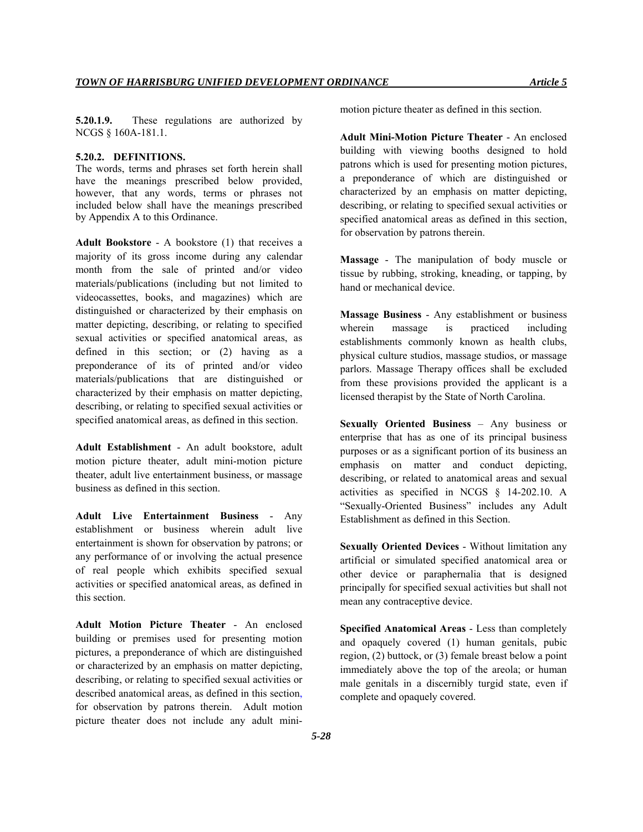**5.20.1.9.** These regulations are authorized by NCGS § 160A-181.1.

### **5.20.2. DEFINITIONS.**

The words, terms and phrases set forth herein shall have the meanings prescribed below provided, however, that any words, terms or phrases not included below shall have the meanings prescribed by Appendix A to this Ordinance.

**Adult Bookstore** - A bookstore (1) that receives a majority of its gross income during any calendar month from the sale of printed and/or video materials/publications (including but not limited to videocassettes, books, and magazines) which are distinguished or characterized by their emphasis on matter depicting, describing, or relating to specified sexual activities or specified anatomical areas, as defined in this section; or (2) having as a preponderance of its of printed and/or video materials/publications that are distinguished or characterized by their emphasis on matter depicting, describing, or relating to specified sexual activities or specified anatomical areas, as defined in this section.

**Adult Establishment** - An adult bookstore, adult motion picture theater, adult mini-motion picture theater, adult live entertainment business, or massage business as defined in this section.

**Adult Live Entertainment Business** - Any establishment or business wherein adult live entertainment is shown for observation by patrons; or any performance of or involving the actual presence of real people which exhibits specified sexual activities or specified anatomical areas, as defined in this section.

**Adult Motion Picture Theater** - An enclosed building or premises used for presenting motion pictures, a preponderance of which are distinguished or characterized by an emphasis on matter depicting, describing, or relating to specified sexual activities or described anatomical areas, as defined in this section, for observation by patrons therein. Adult motion picture theater does not include any adult minimotion picture theater as defined in this section.

**Adult Mini-Motion Picture Theater** - An enclosed building with viewing booths designed to hold patrons which is used for presenting motion pictures, a preponderance of which are distinguished or characterized by an emphasis on matter depicting, describing, or relating to specified sexual activities or specified anatomical areas as defined in this section, for observation by patrons therein.

**Massage** - The manipulation of body muscle or tissue by rubbing, stroking, kneading, or tapping, by hand or mechanical device.

**Massage Business** - Any establishment or business wherein massage is practiced including establishments commonly known as health clubs, physical culture studios, massage studios, or massage parlors. Massage Therapy offices shall be excluded from these provisions provided the applicant is a licensed therapist by the State of North Carolina.

**Sexually Oriented Business** – Any business or enterprise that has as one of its principal business purposes or as a significant portion of its business an emphasis on matter and conduct depicting, describing, or related to anatomical areas and sexual activities as specified in NCGS § 14-202.10. A "Sexually-Oriented Business" includes any Adult Establishment as defined in this Section.

**Sexually Oriented Devices** - Without limitation any artificial or simulated specified anatomical area or other device or paraphernalia that is designed principally for specified sexual activities but shall not mean any contraceptive device.

**Specified Anatomical Areas** - Less than completely and opaquely covered (1) human genitals, pubic region, (2) buttock, or (3) female breast below a point immediately above the top of the areola; or human male genitals in a discernibly turgid state, even if complete and opaquely covered.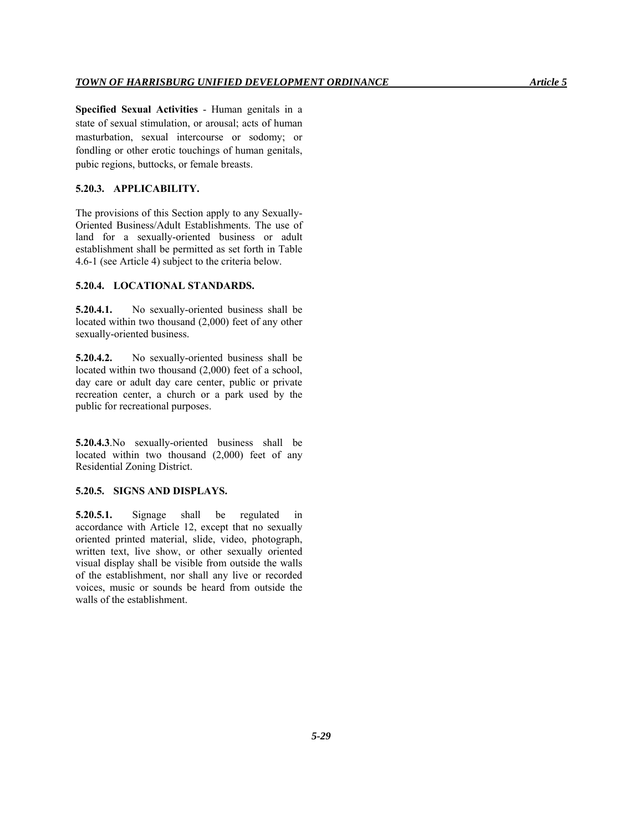**Specified Sexual Activities** - Human genitals in a state of sexual stimulation, or arousal; acts of human masturbation, sexual intercourse or sodomy; or fondling or other erotic touchings of human genitals, pubic regions, buttocks, or female breasts.

#### **5.20.3. APPLICABILITY.**

The provisions of this Section apply to any Sexually-Oriented Business/Adult Establishments. The use of land for a sexually-oriented business or adult establishment shall be permitted as set forth in Table 4.6-1 (see Article 4) subject to the criteria below.

#### **5.20.4. LOCATIONAL STANDARDS.**

**5.20.4.1.** No sexually-oriented business shall be located within two thousand (2,000) feet of any other sexually-oriented business.

**5.20.4.2.** No sexually-oriented business shall be located within two thousand (2,000) feet of a school, day care or adult day care center, public or private recreation center, a church or a park used by the public for recreational purposes.

**5.20.4.3**.No sexually-oriented business shall be located within two thousand (2,000) feet of any Residential Zoning District.

#### **5.20.5. SIGNS AND DISPLAYS.**

**5.20.5.1.** Signage shall be regulated in accordance with Article 12, except that no sexually oriented printed material, slide, video, photograph, written text, live show, or other sexually oriented visual display shall be visible from outside the walls of the establishment, nor shall any live or recorded voices, music or sounds be heard from outside the walls of the establishment.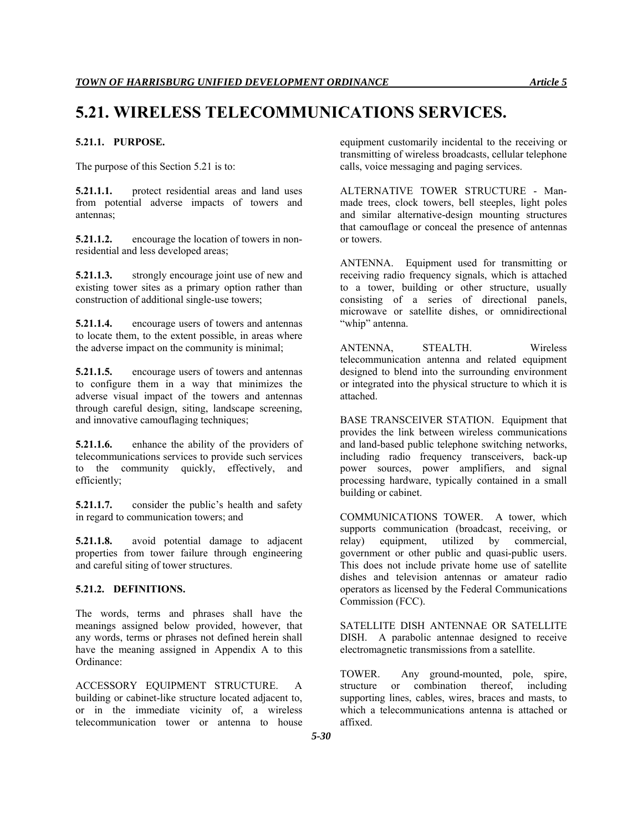# **5.21. WIRELESS TELECOMMUNICATIONS SERVICES.**

### **5.21.1. PURPOSE.**

The purpose of this Section 5.21 is to:

**5.21.1.1.** protect residential areas and land uses from potential adverse impacts of towers and antennas;

**5.21.1.2.** encourage the location of towers in nonresidential and less developed areas;

**5.21.1.3.** strongly encourage joint use of new and existing tower sites as a primary option rather than construction of additional single-use towers;

**5.21.1.4.** encourage users of towers and antennas to locate them, to the extent possible, in areas where the adverse impact on the community is minimal;

**5.21.1.5.** encourage users of towers and antennas to configure them in a way that minimizes the adverse visual impact of the towers and antennas through careful design, siting, landscape screening, and innovative camouflaging techniques;

**5.21.1.6.** enhance the ability of the providers of telecommunications services to provide such services to the community quickly, effectively, and efficiently;

**5.21.1.7.** consider the public's health and safety in regard to communication towers; and

**5.21.1.8.** avoid potential damage to adjacent properties from tower failure through engineering and careful siting of tower structures.

# **5.21.2. DEFINITIONS.**

The words, terms and phrases shall have the meanings assigned below provided, however, that any words, terms or phrases not defined herein shall have the meaning assigned in Appendix A to this Ordinance:

ACCESSORY EQUIPMENT STRUCTURE. A building or cabinet-like structure located adjacent to, or in the immediate vicinity of, a wireless telecommunication tower or antenna to house equipment customarily incidental to the receiving or transmitting of wireless broadcasts, cellular telephone calls, voice messaging and paging services.

ALTERNATIVE TOWER STRUCTURE - Manmade trees, clock towers, bell steeples, light poles and similar alternative-design mounting structures that camouflage or conceal the presence of antennas or towers.

ANTENNA. Equipment used for transmitting or receiving radio frequency signals, which is attached to a tower, building or other structure, usually consisting of a series of directional panels, microwave or satellite dishes, or omnidirectional "whip" antenna.

ANTENNA, STEALTH. Wireless telecommunication antenna and related equipment designed to blend into the surrounding environment or integrated into the physical structure to which it is attached.

BASE TRANSCEIVER STATION. Equipment that provides the link between wireless communications and land-based public telephone switching networks, including radio frequency transceivers, back-up power sources, power amplifiers, and signal processing hardware, typically contained in a small building or cabinet.

COMMUNICATIONS TOWER. A tower, which supports communication (broadcast, receiving, or relay) equipment, utilized by commercial, government or other public and quasi-public users. This does not include private home use of satellite dishes and television antennas or amateur radio operators as licensed by the Federal Communications Commission (FCC).

SATELLITE DISH ANTENNAE OR SATELLITE DISH. A parabolic antennae designed to receive electromagnetic transmissions from a satellite.

TOWER. Any ground-mounted, pole, spire, structure or combination thereof, including supporting lines, cables, wires, braces and masts, to which a telecommunications antenna is attached or affixed.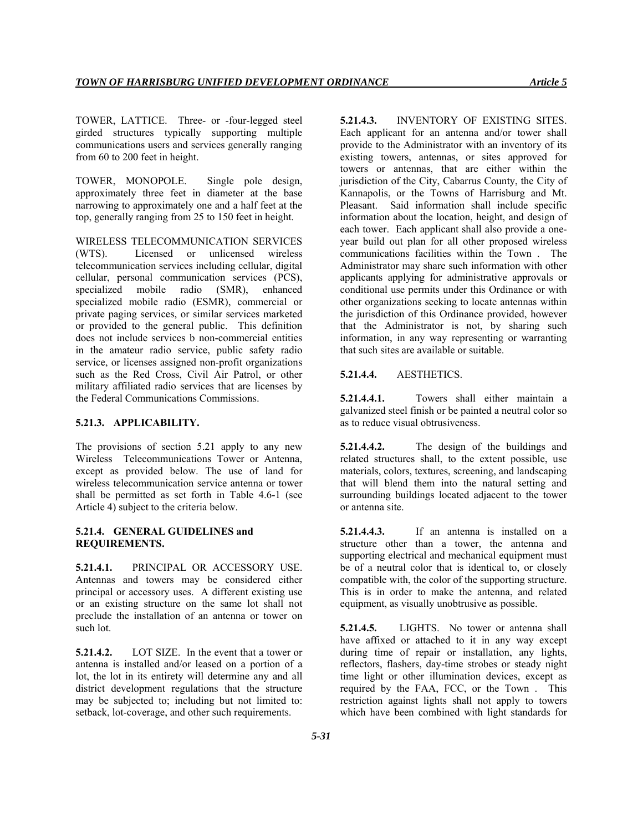TOWER, LATTICE. Three- or -four-legged steel girded structures typically supporting multiple communications users and services generally ranging from 60 to 200 feet in height.

TOWER, MONOPOLE. Single pole design, approximately three feet in diameter at the base narrowing to approximately one and a half feet at the top, generally ranging from 25 to 150 feet in height.

WIRELESS TELECOMMUNICATION SERVICES (WTS). Licensed or unlicensed wireless telecommunication services including cellular, digital cellular, personal communication services (PCS), specialized mobile radio (SMR), enhanced specialized mobile radio (ESMR), commercial or private paging services, or similar services marketed or provided to the general public. This definition does not include services b non-commercial entities in the amateur radio service, public safety radio service, or licenses assigned non-profit organizations such as the Red Cross, Civil Air Patrol, or other military affiliated radio services that are licenses by the Federal Communications Commissions.

### **5.21.3. APPLICABILITY.**

The provisions of section 5.21 apply to any new Wireless Telecommunications Tower or Antenna, except as provided below. The use of land for wireless telecommunication service antenna or tower shall be permitted as set forth in Table 4.6-1 (see Article 4) subject to the criteria below.

# **5.21.4. GENERAL GUIDELINES and REQUIREMENTS.**

**5.21.4.1.** PRINCIPAL OR ACCESSORY USE. Antennas and towers may be considered either principal or accessory uses. A different existing use or an existing structure on the same lot shall not preclude the installation of an antenna or tower on such lot.

**5.21.4.2.** LOT SIZE. In the event that a tower or antenna is installed and/or leased on a portion of a lot, the lot in its entirety will determine any and all district development regulations that the structure may be subjected to; including but not limited to: setback, lot-coverage, and other such requirements.

**5.21.4.3.** INVENTORY OF EXISTING SITES. Each applicant for an antenna and/or tower shall provide to the Administrator with an inventory of its existing towers, antennas, or sites approved for towers or antennas, that are either within the jurisdiction of the City, Cabarrus County, the City of Kannapolis, or the Towns of Harrisburg and Mt. Pleasant. Said information shall include specific information about the location, height, and design of each tower. Each applicant shall also provide a oneyear build out plan for all other proposed wireless communications facilities within the Town . The Administrator may share such information with other applicants applying for administrative approvals or conditional use permits under this Ordinance or with other organizations seeking to locate antennas within the jurisdiction of this Ordinance provided, however that the Administrator is not, by sharing such information, in any way representing or warranting that such sites are available or suitable.

# **5.21.4.4.** AESTHETICS.

**5.21.4.4.1.** Towers shall either maintain a galvanized steel finish or be painted a neutral color so as to reduce visual obtrusiveness.

**5.21.4.4.2.** The design of the buildings and related structures shall, to the extent possible, use materials, colors, textures, screening, and landscaping that will blend them into the natural setting and surrounding buildings located adjacent to the tower or antenna site.

**5.21.4.4.3.** If an antenna is installed on a structure other than a tower, the antenna and supporting electrical and mechanical equipment must be of a neutral color that is identical to, or closely compatible with, the color of the supporting structure. This is in order to make the antenna, and related equipment, as visually unobtrusive as possible.

**5.21.4.5.** LIGHTS. No tower or antenna shall have affixed or attached to it in any way except during time of repair or installation, any lights, reflectors, flashers, day-time strobes or steady night time light or other illumination devices, except as required by the FAA, FCC, or the Town . This restriction against lights shall not apply to towers which have been combined with light standards for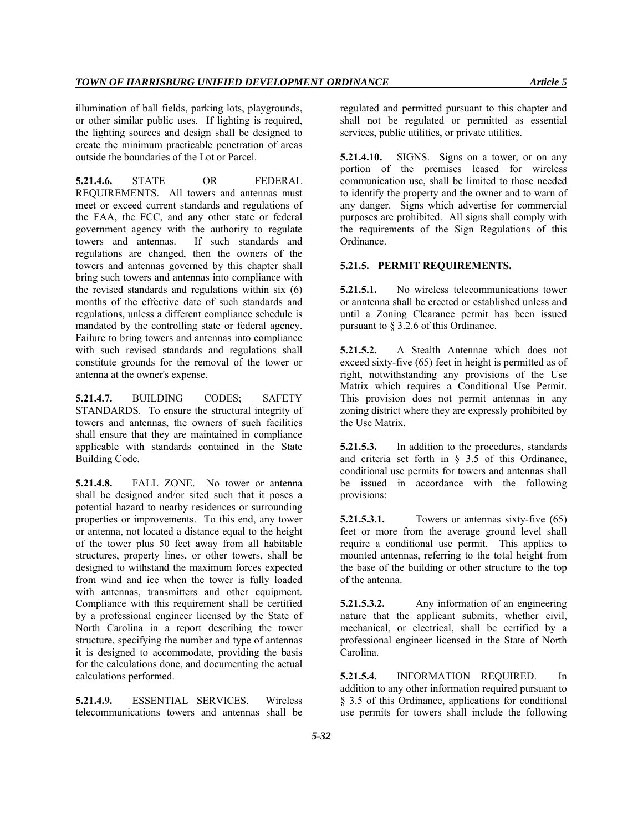illumination of ball fields, parking lots, playgrounds, or other similar public uses. If lighting is required, the lighting sources and design shall be designed to create the minimum practicable penetration of areas outside the boundaries of the Lot or Parcel.

**5.21.4.6.** STATE OR FEDERAL REQUIREMENTS. All towers and antennas must meet or exceed current standards and regulations of the FAA, the FCC, and any other state or federal government agency with the authority to regulate towers and antennas. If such standards and regulations are changed, then the owners of the towers and antennas governed by this chapter shall bring such towers and antennas into compliance with the revised standards and regulations within six (6) months of the effective date of such standards and regulations, unless a different compliance schedule is mandated by the controlling state or federal agency. Failure to bring towers and antennas into compliance with such revised standards and regulations shall constitute grounds for the removal of the tower or antenna at the owner's expense.

**5.21.4.7.** BUILDING CODES; SAFETY STANDARDS. To ensure the structural integrity of towers and antennas, the owners of such facilities shall ensure that they are maintained in compliance applicable with standards contained in the State Building Code.

**5.21.4.8.** FALL ZONE. No tower or antenna shall be designed and/or sited such that it poses a potential hazard to nearby residences or surrounding properties or improvements. To this end, any tower or antenna, not located a distance equal to the height of the tower plus 50 feet away from all habitable structures, property lines, or other towers, shall be designed to withstand the maximum forces expected from wind and ice when the tower is fully loaded with antennas, transmitters and other equipment. Compliance with this requirement shall be certified by a professional engineer licensed by the State of North Carolina in a report describing the tower structure, specifying the number and type of antennas it is designed to accommodate, providing the basis for the calculations done, and documenting the actual calculations performed.

**5.21.4.9.** ESSENTIAL SERVICES. Wireless telecommunications towers and antennas shall be regulated and permitted pursuant to this chapter and shall not be regulated or permitted as essential services, public utilities, or private utilities.

**5.21.4.10.** SIGNS. Signs on a tower, or on any portion of the premises leased for wireless communication use, shall be limited to those needed to identify the property and the owner and to warn of any danger. Signs which advertise for commercial purposes are prohibited. All signs shall comply with the requirements of the Sign Regulations of this Ordinance.

### **5.21.5. PERMIT REQUIREMENTS.**

**5.21.5.1.** No wireless telecommunications tower or anntenna shall be erected or established unless and until a Zoning Clearance permit has been issued pursuant to § 3.2.6 of this Ordinance.

**5.21.5.2.** A Stealth Antennae which does not exceed sixty-five (65) feet in height is permitted as of right, notwithstanding any provisions of the Use Matrix which requires a Conditional Use Permit. This provision does not permit antennas in any zoning district where they are expressly prohibited by the Use Matrix.

**5.21.5.3.** In addition to the procedures, standards and criteria set forth in § 3.5 of this Ordinance, conditional use permits for towers and antennas shall be issued in accordance with the following provisions:

**5.21.5.3.1.** Towers or antennas sixty-five (65) feet or more from the average ground level shall require a conditional use permit. This applies to mounted antennas, referring to the total height from the base of the building or other structure to the top of the antenna.

**5.21.5.3.2.** Any information of an engineering nature that the applicant submits, whether civil, mechanical, or electrical, shall be certified by a professional engineer licensed in the State of North Carolina.

**5.21.5.4.** INFORMATION REQUIRED. In addition to any other information required pursuant to § 3.5 of this Ordinance, applications for conditional use permits for towers shall include the following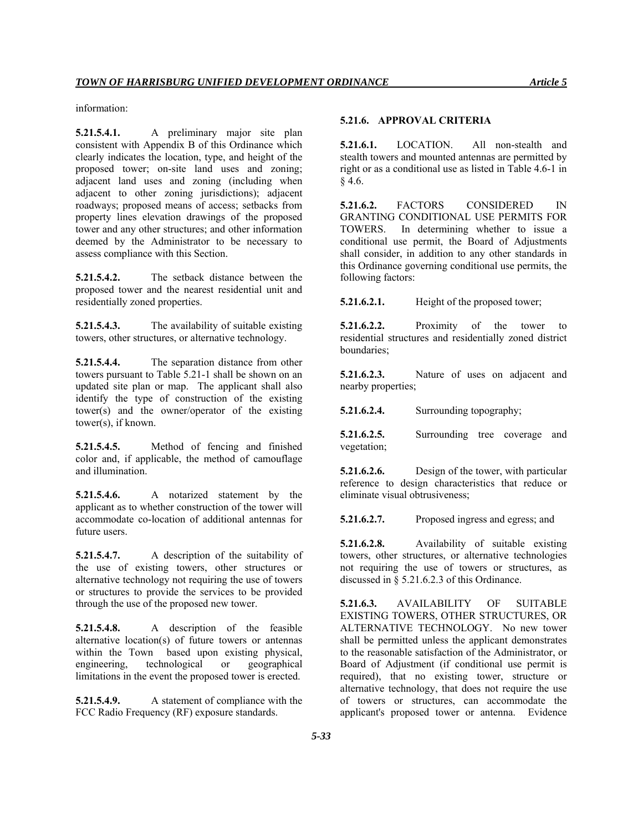information:

**5.21.5.4.1.** A preliminary major site plan consistent with Appendix B of this Ordinance which clearly indicates the location, type, and height of the proposed tower; on-site land uses and zoning; adjacent land uses and zoning (including when adjacent to other zoning jurisdictions); adjacent roadways; proposed means of access; setbacks from property lines elevation drawings of the proposed tower and any other structures; and other information deemed by the Administrator to be necessary to assess compliance with this Section.

**5.21.5.4.2.** The setback distance between the proposed tower and the nearest residential unit and residentially zoned properties.

**5.21.5.4.3.** The availability of suitable existing towers, other structures, or alternative technology.

**5.21.5.4.4.** The separation distance from other towers pursuant to Table 5.21-1 shall be shown on an updated site plan or map. The applicant shall also identify the type of construction of the existing tower(s) and the owner/operator of the existing tower(s), if known.

**5.21.5.4.5.** Method of fencing and finished color and, if applicable, the method of camouflage and illumination.

**5.21.5.4.6.** A notarized statement by the applicant as to whether construction of the tower will accommodate co-location of additional antennas for future users.

**5.21.5.4.7.** A description of the suitability of the use of existing towers, other structures or alternative technology not requiring the use of towers or structures to provide the services to be provided through the use of the proposed new tower.

**5.21.5.4.8.** A description of the feasible alternative location(s) of future towers or antennas within the Town based upon existing physical, engineering, technological or geographical limitations in the event the proposed tower is erected.

**5.21.5.4.9.** A statement of compliance with the FCC Radio Frequency (RF) exposure standards.

# **5.21.6. APPROVAL CRITERIA**

**5.21.6.1.** LOCATION. All non-stealth and stealth towers and mounted antennas are permitted by right or as a conditional use as listed in Table 4.6-1 in § 4.6.

**5.21.6.2.** FACTORS CONSIDERED IN GRANTING CONDITIONAL USE PERMITS FOR TOWERS. In determining whether to issue a conditional use permit, the Board of Adjustments shall consider, in addition to any other standards in this Ordinance governing conditional use permits, the following factors:

**5.21.6.2.1.** Height of the proposed tower;

**5.21.6.2.2.** Proximity of the tower to residential structures and residentially zoned district boundaries;

**5.21.6.2.3.** Nature of uses on adjacent and nearby properties;

**5.21.6.2.4.** Surrounding topography;

**5.21.6.2.5.** Surrounding tree coverage and vegetation;

**5.21.6.2.6.** Design of the tower, with particular reference to design characteristics that reduce or eliminate visual obtrusiveness;

**5.21.6.2.7.** Proposed ingress and egress; and

**5.21.6.2.8.** Availability of suitable existing towers, other structures, or alternative technologies not requiring the use of towers or structures, as discussed in § 5.21.6.2.3 of this Ordinance.

**5.21.6.3.** AVAILABILITY OF SUITABLE EXISTING TOWERS, OTHER STRUCTURES, OR ALTERNATIVE TECHNOLOGY. No new tower shall be permitted unless the applicant demonstrates to the reasonable satisfaction of the Administrator, or Board of Adjustment (if conditional use permit is required), that no existing tower, structure or alternative technology, that does not require the use of towers or structures, can accommodate the applicant's proposed tower or antenna. Evidence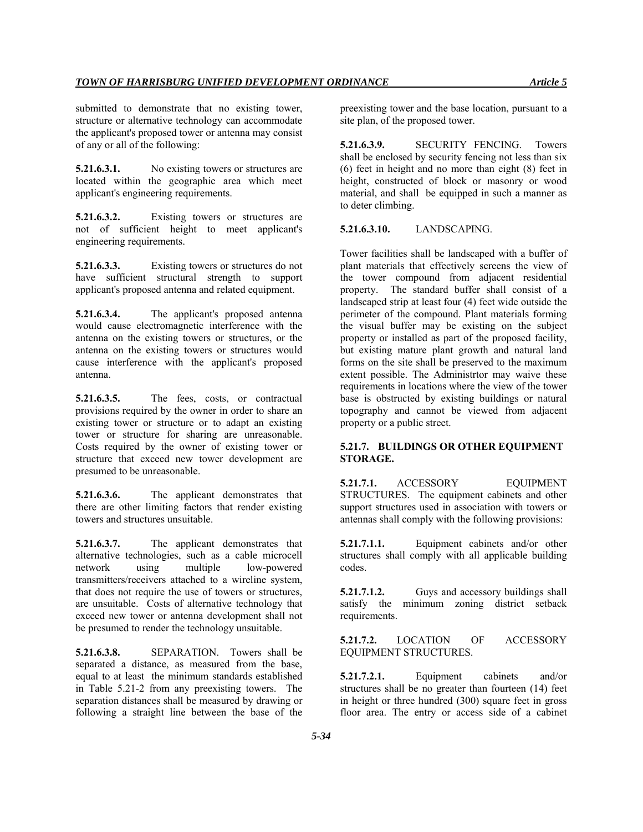submitted to demonstrate that no existing tower, structure or alternative technology can accommodate the applicant's proposed tower or antenna may consist of any or all of the following:

**5.21.6.3.1.** No existing towers or structures are located within the geographic area which meet applicant's engineering requirements.

**5.21.6.3.2.** Existing towers or structures are not of sufficient height to meet applicant's engineering requirements.

**5.21.6.3.3.** Existing towers or structures do not have sufficient structural strength to support applicant's proposed antenna and related equipment.

**5.21.6.3.4.** The applicant's proposed antenna would cause electromagnetic interference with the antenna on the existing towers or structures, or the antenna on the existing towers or structures would cause interference with the applicant's proposed antenna.

**5.21.6.3.5.** The fees, costs, or contractual provisions required by the owner in order to share an existing tower or structure or to adapt an existing tower or structure for sharing are unreasonable. Costs required by the owner of existing tower or structure that exceed new tower development are presumed to be unreasonable.

**5.21.6.3.6.** The applicant demonstrates that there are other limiting factors that render existing towers and structures unsuitable.

**5.21.6.3.7.** The applicant demonstrates that alternative technologies, such as a cable microcell network using multiple low-powered transmitters/receivers attached to a wireline system, that does not require the use of towers or structures, are unsuitable. Costs of alternative technology that exceed new tower or antenna development shall not be presumed to render the technology unsuitable.

**5.21.6.3.8.** SEPARATION. Towers shall be separated a distance, as measured from the base, equal to at least the minimum standards established in Table 5.21-2 from any preexisting towers. The separation distances shall be measured by drawing or following a straight line between the base of the

preexisting tower and the base location, pursuant to a site plan, of the proposed tower.

**5.21.6.3.9.** SECURITY FENCING. Towers shall be enclosed by security fencing not less than six (6) feet in height and no more than eight (8) feet in height, constructed of block or masonry or wood material, and shall be equipped in such a manner as to deter climbing.

**5.21.6.3.10.** LANDSCAPING.

Tower facilities shall be landscaped with a buffer of plant materials that effectively screens the view of the tower compound from adjacent residential property. The standard buffer shall consist of a landscaped strip at least four (4) feet wide outside the perimeter of the compound. Plant materials forming the visual buffer may be existing on the subject property or installed as part of the proposed facility, but existing mature plant growth and natural land forms on the site shall be preserved to the maximum extent possible. The Administrtor may waive these requirements in locations where the view of the tower base is obstructed by existing buildings or natural topography and cannot be viewed from adjacent property or a public street.

# **5.21.7. BUILDINGS OR OTHER EQUIPMENT STORAGE.**

**5.21.7.1.** ACCESSORY EQUIPMENT STRUCTURES. The equipment cabinets and other support structures used in association with towers or antennas shall comply with the following provisions:

**5.21.7.1.1.** Equipment cabinets and/or other structures shall comply with all applicable building codes.

**5.21.7.1.2.** Guys and accessory buildings shall satisfy the minimum zoning district setback requirements.

**5.21.7.2.** LOCATION OF ACCESSORY EQUIPMENT STRUCTURES.

**5.21.7.2.1.** Equipment cabinets and/or structures shall be no greater than fourteen (14) feet in height or three hundred (300) square feet in gross floor area. The entry or access side of a cabinet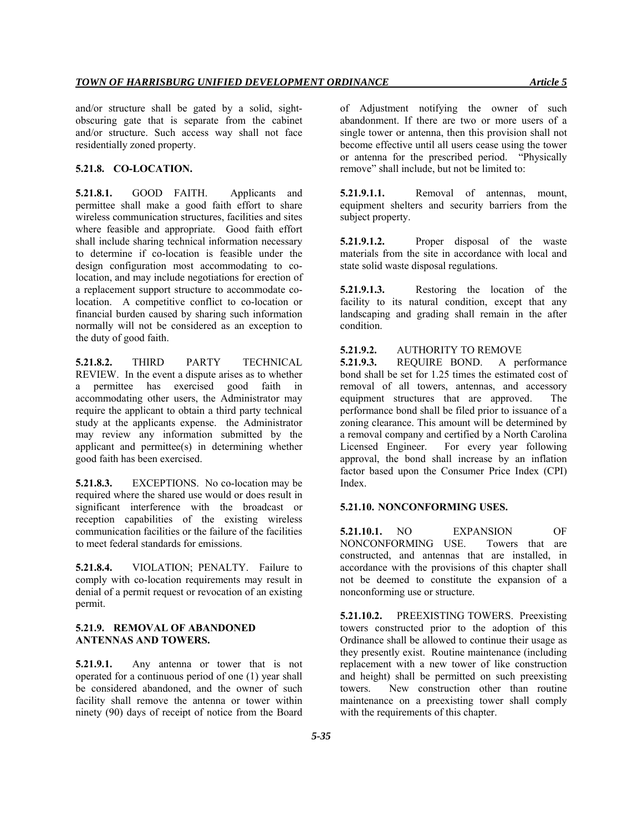and/or structure shall be gated by a solid, sightobscuring gate that is separate from the cabinet and/or structure. Such access way shall not face residentially zoned property.

### **5.21.8. CO-LOCATION.**

**5.21.8.1.** GOOD FAITH. Applicants and permittee shall make a good faith effort to share wireless communication structures, facilities and sites where feasible and appropriate. Good faith effort shall include sharing technical information necessary to determine if co-location is feasible under the design configuration most accommodating to colocation, and may include negotiations for erection of a replacement support structure to accommodate colocation. A competitive conflict to co-location or financial burden caused by sharing such information normally will not be considered as an exception to the duty of good faith.

**5.21.8.2.** THIRD PARTY TECHNICAL REVIEW. In the event a dispute arises as to whether a permittee has exercised good faith in accommodating other users, the Administrator may require the applicant to obtain a third party technical study at the applicants expense. the Administrator may review any information submitted by the applicant and permittee(s) in determining whether good faith has been exercised.

**5.21.8.3.** EXCEPTIONS. No co-location may be required where the shared use would or does result in significant interference with the broadcast or reception capabilities of the existing wireless communication facilities or the failure of the facilities to meet federal standards for emissions.

**5.21.8.4.** VIOLATION; PENALTY. Failure to comply with co-location requirements may result in denial of a permit request or revocation of an existing permit.

#### **5.21.9. REMOVAL OF ABANDONED ANTENNAS AND TOWERS.**

**5.21.9.1.** Any antenna or tower that is not operated for a continuous period of one (1) year shall be considered abandoned, and the owner of such facility shall remove the antenna or tower within ninety (90) days of receipt of notice from the Board

of Adjustment notifying the owner of such abandonment. If there are two or more users of a single tower or antenna, then this provision shall not become effective until all users cease using the tower or antenna for the prescribed period. "Physically remove" shall include, but not be limited to:

**5.21.9.1.1.** Removal of antennas, mount, equipment shelters and security barriers from the subject property.

**5.21.9.1.2.** Proper disposal of the waste materials from the site in accordance with local and state solid waste disposal regulations.

**5.21.9.1.3.** Restoring the location of the facility to its natural condition, except that any landscaping and grading shall remain in the after condition.

# **5.21.9.2.** AUTHORITY TO REMOVE

**5.21.9.3.** REQUIRE BOND. A performance bond shall be set for 1.25 times the estimated cost of removal of all towers, antennas, and accessory equipment structures that are approved. The performance bond shall be filed prior to issuance of a zoning clearance. This amount will be determined by a removal company and certified by a North Carolina Licensed Engineer. For every year following approval, the bond shall increase by an inflation factor based upon the Consumer Price Index (CPI) Index.

#### **5.21.10. NONCONFORMING USES.**

**5.21.10.1.** NO EXPANSION OF NONCONFORMING USE. Towers that are constructed, and antennas that are installed, in accordance with the provisions of this chapter shall not be deemed to constitute the expansion of a nonconforming use or structure.

**5.21.10.2.** PREEXISTING TOWERS. Preexisting towers constructed prior to the adoption of this Ordinance shall be allowed to continue their usage as they presently exist. Routine maintenance (including replacement with a new tower of like construction and height) shall be permitted on such preexisting towers. New construction other than routine maintenance on a preexisting tower shall comply with the requirements of this chapter.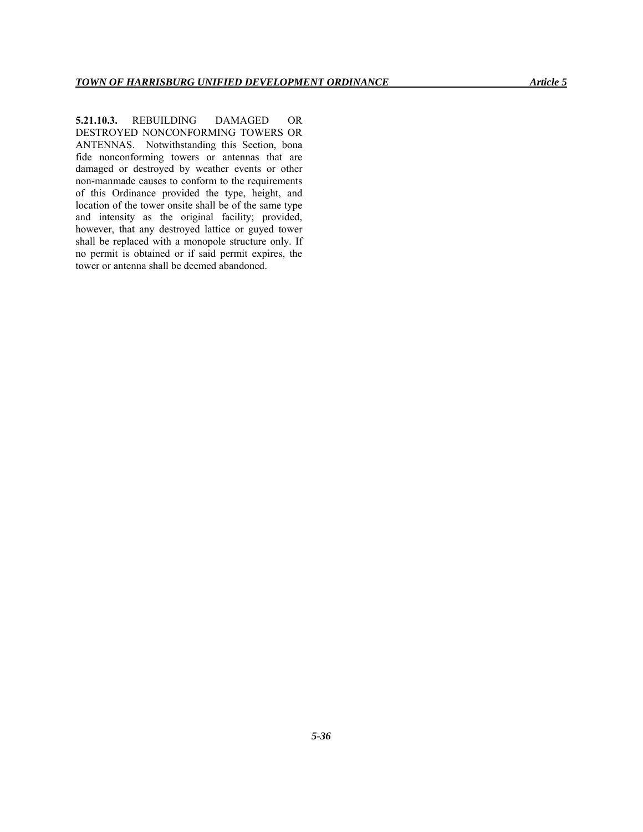**5.21.10.3.** REBUILDING DAMAGED OR DESTROYED NONCONFORMING TOWERS OR ANTENNAS. Notwithstanding this Section, bona fide nonconforming towers or antennas that are damaged or destroyed by weather events or other non-manmade causes to conform to the requirements of this Ordinance provided the type, height, and location of the tower onsite shall be of the same type and intensity as the original facility; provided, however, that any destroyed lattice or guyed tower shall be replaced with a monopole structure only. If no permit is obtained or if said permit expires, the tower or antenna shall be deemed abandoned.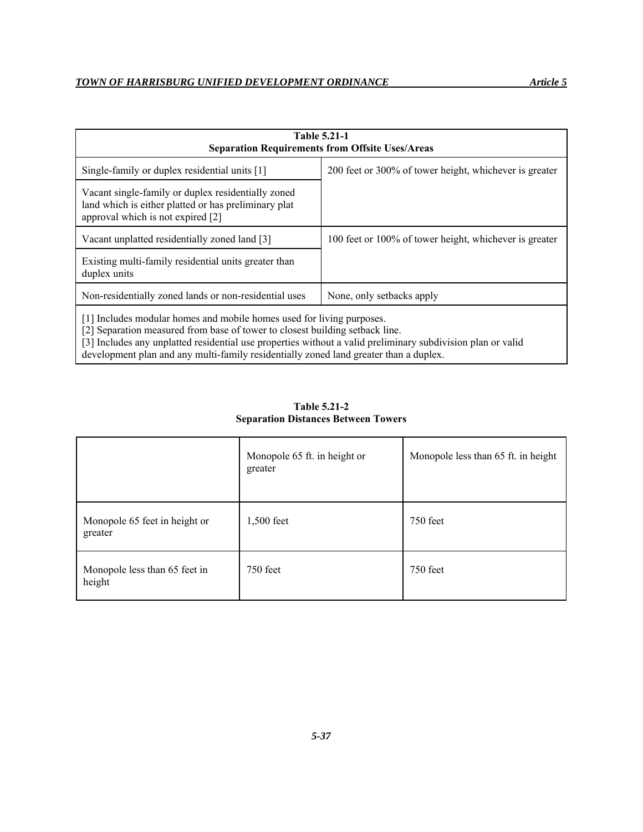| <b>Table 5.21-1</b><br><b>Separation Requirements from Offsite Uses/Areas</b>                                                                                                                                                                                        |                                                        |  |  |
|----------------------------------------------------------------------------------------------------------------------------------------------------------------------------------------------------------------------------------------------------------------------|--------------------------------------------------------|--|--|
| Single-family or duplex residential units [1]                                                                                                                                                                                                                        | 200 feet or 300% of tower height, whichever is greater |  |  |
| Vacant single-family or duplex residentially zoned<br>land which is either platted or has preliminary plat<br>approval which is not expired [2]                                                                                                                      |                                                        |  |  |
| Vacant unplatted residentially zoned land [3]                                                                                                                                                                                                                        | 100 feet or 100% of tower height, whichever is greater |  |  |
| Existing multi-family residential units greater than<br>duplex units                                                                                                                                                                                                 |                                                        |  |  |
| Non-residentially zoned lands or non-residential uses                                                                                                                                                                                                                | None, only setbacks apply                              |  |  |
| [1] Includes modular homes and mobile homes used for living purposes.<br>[2] Separation measured from base of tower to closest building setback line.<br>[3] Includes any unplatted residential use properties without a valid preliminary subdivision plan or valid |                                                        |  |  |

development plan and any multi-family residentially zoned land greater than a duplex.

**Table 5.21-2 Separation Distances Between Towers** 

|                                          | Monopole 65 ft. in height or<br>greater | Monopole less than 65 ft. in height |
|------------------------------------------|-----------------------------------------|-------------------------------------|
| Monopole 65 feet in height or<br>greater | 1,500 feet                              | 750 feet                            |
| Monopole less than 65 feet in<br>height  | 750 feet                                | 750 feet                            |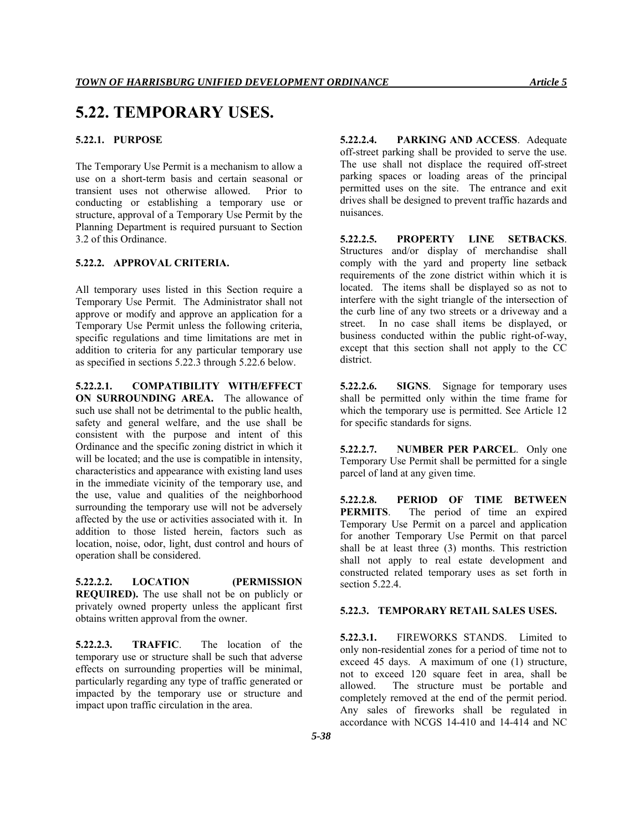# **5.22. TEMPORARY USES.**

# **5.22.1. PURPOSE**

The Temporary Use Permit is a mechanism to allow a use on a short-term basis and certain seasonal or transient uses not otherwise allowed. Prior to conducting or establishing a temporary use or structure, approval of a Temporary Use Permit by the Planning Department is required pursuant to Section 3.2 of this Ordinance.

### **5.22.2. APPROVAL CRITERIA.**

All temporary uses listed in this Section require a Temporary Use Permit. The Administrator shall not approve or modify and approve an application for a Temporary Use Permit unless the following criteria, specific regulations and time limitations are met in addition to criteria for any particular temporary use as specified in sections 5.22.3 through 5.22.6 below.

**5.22.2.1. COMPATIBILITY WITH/EFFECT ON SURROUNDING AREA.** The allowance of such use shall not be detrimental to the public health, safety and general welfare, and the use shall be consistent with the purpose and intent of this Ordinance and the specific zoning district in which it will be located; and the use is compatible in intensity, characteristics and appearance with existing land uses in the immediate vicinity of the temporary use, and the use, value and qualities of the neighborhood surrounding the temporary use will not be adversely affected by the use or activities associated with it. In addition to those listed herein, factors such as location, noise, odor, light, dust control and hours of operation shall be considered.

**5.22.2.2. LOCATION (PERMISSION REQUIRED).** The use shall not be on publicly or privately owned property unless the applicant first obtains written approval from the owner.

**5.22.2.3. TRAFFIC**. The location of the temporary use or structure shall be such that adverse effects on surrounding properties will be minimal, particularly regarding any type of traffic generated or impacted by the temporary use or structure and impact upon traffic circulation in the area.

**5.22.2.4. PARKING AND ACCESS**. Adequate off-street parking shall be provided to serve the use. The use shall not displace the required off-street parking spaces or loading areas of the principal permitted uses on the site. The entrance and exit drives shall be designed to prevent traffic hazards and nuisances.

**5.22.2.5. PROPERTY LINE SETBACKS**. Structures and/or display of merchandise shall comply with the yard and property line setback requirements of the zone district within which it is located. The items shall be displayed so as not to interfere with the sight triangle of the intersection of the curb line of any two streets or a driveway and a street. In no case shall items be displayed, or business conducted within the public right-of-way, except that this section shall not apply to the CC district.

**5.22.2.6. SIGNS**. Signage for temporary uses shall be permitted only within the time frame for which the temporary use is permitted. See Article 12 for specific standards for signs.

**5.22.2.7. NUMBER PER PARCEL**. Only one Temporary Use Permit shall be permitted for a single parcel of land at any given time.

**5.22.2.8. PERIOD OF TIME BETWEEN PERMITS**. The period of time an expired Temporary Use Permit on a parcel and application for another Temporary Use Permit on that parcel shall be at least three (3) months. This restriction shall not apply to real estate development and constructed related temporary uses as set forth in section 5.22.4.

#### **5.22.3. TEMPORARY RETAIL SALES USES.**

**5.22.3.1.** FIREWORKS STANDS. Limited to only non-residential zones for a period of time not to exceed 45 days. A maximum of one (1) structure, not to exceed 120 square feet in area, shall be allowed. The structure must be portable and completely removed at the end of the permit period. Any sales of fireworks shall be regulated in accordance with NCGS 14-410 and 14-414 and NC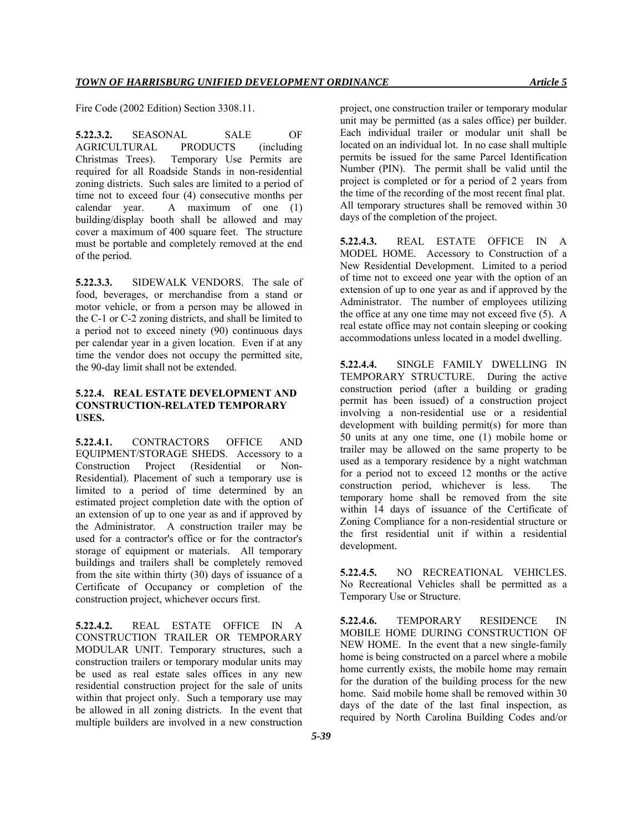Fire Code (2002 Edition) Section 3308.11.

**5.22.3.2.** SEASONAL SALE OF AGRICULTURAL PRODUCTS (including Christmas Trees). Temporary Use Permits are required for all Roadside Stands in non-residential zoning districts. Such sales are limited to a period of time not to exceed four (4) consecutive months per calendar year. A maximum of one (1) building/display booth shall be allowed and may cover a maximum of 400 square feet. The structure must be portable and completely removed at the end of the period.

**5.22.3.3.** SIDEWALK VENDORS. The sale of food, beverages, or merchandise from a stand or motor vehicle, or from a person may be allowed in the C-1 or C-2 zoning districts, and shall be limited to a period not to exceed ninety (90) continuous days per calendar year in a given location. Even if at any time the vendor does not occupy the permitted site, the 90-day limit shall not be extended.

### **5.22.4. REAL ESTATE DEVELOPMENT AND CONSTRUCTION-RELATED TEMPORARY USES.**

**5.22.4.1.** CONTRACTORS OFFICE AND EQUIPMENT/STORAGE SHEDS. Accessory to a Construction Project (Residential or Non-Residential). Placement of such a temporary use is limited to a period of time determined by an estimated project completion date with the option of an extension of up to one year as and if approved by the Administrator. A construction trailer may be used for a contractor's office or for the contractor's storage of equipment or materials. All temporary buildings and trailers shall be completely removed from the site within thirty (30) days of issuance of a Certificate of Occupancy or completion of the construction project, whichever occurs first.

**5.22.4.2.** REAL ESTATE OFFICE IN A CONSTRUCTION TRAILER OR TEMPORARY MODULAR UNIT. Temporary structures, such a construction trailers or temporary modular units may be used as real estate sales offices in any new residential construction project for the sale of units within that project only. Such a temporary use may be allowed in all zoning districts. In the event that multiple builders are involved in a new construction

project, one construction trailer or temporary modular unit may be permitted (as a sales office) per builder. Each individual trailer or modular unit shall be located on an individual lot. In no case shall multiple permits be issued for the same Parcel Identification Number (PIN). The permit shall be valid until the project is completed or for a period of 2 years from the time of the recording of the most recent final plat. All temporary structures shall be removed within 30 days of the completion of the project.

**5.22.4.3.** REAL ESTATE OFFICE IN A MODEL HOME. Accessory to Construction of a New Residential Development. Limited to a period of time not to exceed one year with the option of an extension of up to one year as and if approved by the Administrator. The number of employees utilizing the office at any one time may not exceed five (5). A real estate office may not contain sleeping or cooking accommodations unless located in a model dwelling.

**5.22.4.4.** SINGLE FAMILY DWELLING IN TEMPORARY STRUCTURE. During the active construction period (after a building or grading permit has been issued) of a construction project involving a non-residential use or a residential development with building permit(s) for more than 50 units at any one time, one (1) mobile home or trailer may be allowed on the same property to be used as a temporary residence by a night watchman for a period not to exceed 12 months or the active construction period, whichever is less. The temporary home shall be removed from the site within 14 days of issuance of the Certificate of Zoning Compliance for a non-residential structure or the first residential unit if within a residential development.

**5.22.4.5.** NO RECREATIONAL VEHICLES. No Recreational Vehicles shall be permitted as a Temporary Use or Structure.

**5.22.4.6.** TEMPORARY RESIDENCE IN MOBILE HOME DURING CONSTRUCTION OF NEW HOME. In the event that a new single-family home is being constructed on a parcel where a mobile home currently exists, the mobile home may remain for the duration of the building process for the new home. Said mobile home shall be removed within 30 days of the date of the last final inspection, as required by North Carolina Building Codes and/or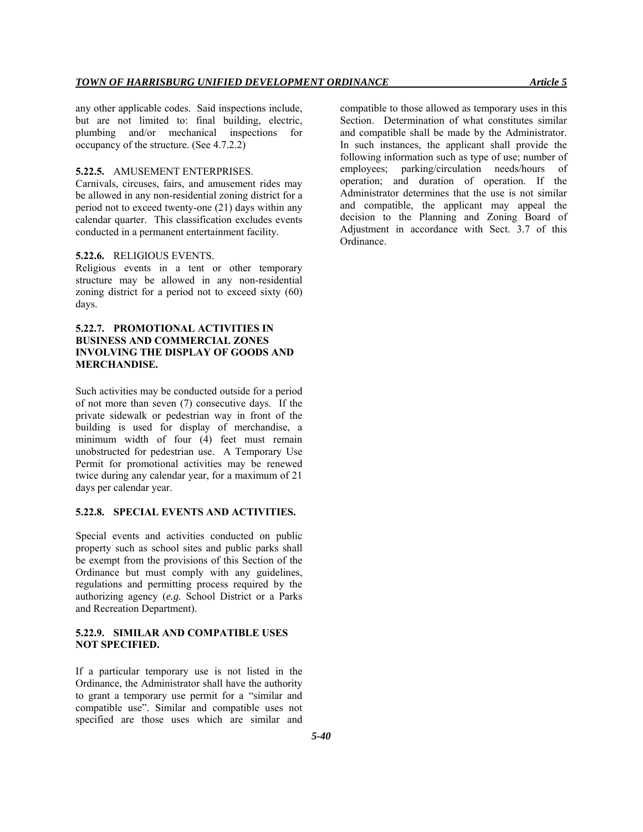any other applicable codes. Said inspections include, but are not limited to: final building, electric, plumbing and/or mechanical inspections for occupancy of the structure. (See 4.7.2.2)

#### **5.22.5.** AMUSEMENT ENTERPRISES.

Carnivals, circuses, fairs, and amusement rides may be allowed in any non-residential zoning district for a period not to exceed twenty-one (21) days within any calendar quarter. This classification excludes events conducted in a permanent entertainment facility.

#### **5.22.6.** RELIGIOUS EVENTS.

Religious events in a tent or other temporary structure may be allowed in any non-residential zoning district for a period not to exceed sixty (60) days.

# **5.22.7. PROMOTIONAL ACTIVITIES IN BUSINESS AND COMMERCIAL ZONES INVOLVING THE DISPLAY OF GOODS AND MERCHANDISE.**

Such activities may be conducted outside for a period of not more than seven (7) consecutive days. If the private sidewalk or pedestrian way in front of the building is used for display of merchandise, a minimum width of four (4) feet must remain unobstructed for pedestrian use. A Temporary Use Permit for promotional activities may be renewed twice during any calendar year, for a maximum of 21 days per calendar year.

# **5.22.8. SPECIAL EVENTS AND ACTIVITIES.**

Special events and activities conducted on public property such as school sites and public parks shall be exempt from the provisions of this Section of the Ordinance but must comply with any guidelines, regulations and permitting process required by the authorizing agency (*e.g.* School District or a Parks and Recreation Department).

# **5.22.9. SIMILAR AND COMPATIBLE USES NOT SPECIFIED.**

If a particular temporary use is not listed in the Ordinance, the Administrator shall have the authority to grant a temporary use permit for a "similar and compatible use". Similar and compatible uses not specified are those uses which are similar and

compatible to those allowed as temporary uses in this Section. Determination of what constitutes similar and compatible shall be made by the Administrator. In such instances, the applicant shall provide the following information such as type of use; number of employees; parking/circulation needs/hours of operation; and duration of operation. If the Administrator determines that the use is not similar and compatible, the applicant may appeal the decision to the Planning and Zoning Board of Adjustment in accordance with Sect. 3.7 of this Ordinance.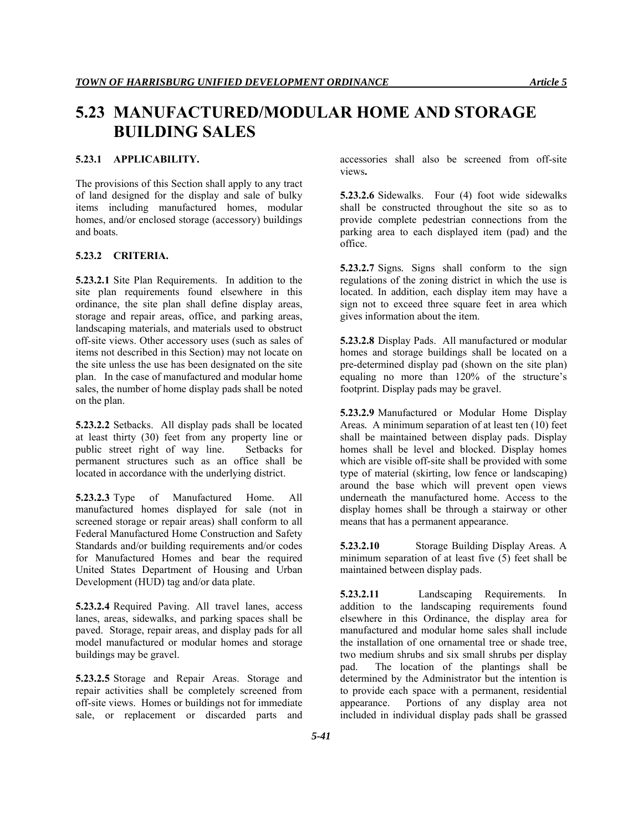# **5.23 MANUFACTURED/MODULAR HOME AND STORAGE BUILDING SALES**

# **5.23.1 APPLICABILITY.**

The provisions of this Section shall apply to any tract of land designed for the display and sale of bulky items including manufactured homes, modular homes, and/or enclosed storage (accessory) buildings and boats.

### **5.23.2 CRITERIA.**

**5.23.2.1** Site Plan Requirements. In addition to the site plan requirements found elsewhere in this ordinance, the site plan shall define display areas, storage and repair areas, office, and parking areas, landscaping materials, and materials used to obstruct off-site views. Other accessory uses (such as sales of items not described in this Section) may not locate on the site unless the use has been designated on the site plan. In the case of manufactured and modular home sales, the number of home display pads shall be noted on the plan.

**5.23.2.2** Setbacks. All display pads shall be located at least thirty (30) feet from any property line or public street right of way line. Setbacks for permanent structures such as an office shall be located in accordance with the underlying district.

**5.23.2.3** Type of Manufactured Home. All manufactured homes displayed for sale (not in screened storage or repair areas) shall conform to all Federal Manufactured Home Construction and Safety Standards and/or building requirements and/or codes for Manufactured Homes and bear the required United States Department of Housing and Urban Development (HUD) tag and/or data plate.

**5.23.2.4** Required Paving. All travel lanes, access lanes, areas, sidewalks, and parking spaces shall be paved. Storage, repair areas, and display pads for all model manufactured or modular homes and storage buildings may be gravel.

**5.23.2.5** Storage and Repair Areas. Storage and repair activities shall be completely screened from off-site views. Homes or buildings not for immediate sale, or replacement or discarded parts and accessories shall also be screened from off-site views**.** 

**5.23.2.6** Sidewalks. Four (4) foot wide sidewalks shall be constructed throughout the site so as to provide complete pedestrian connections from the parking area to each displayed item (pad) and the office.

**5.23.2.7** Signs*.* Signs shall conform to the sign regulations of the zoning district in which the use is located. In addition, each display item may have a sign not to exceed three square feet in area which gives information about the item.

**5.23.2.8** Display Pads. All manufactured or modular homes and storage buildings shall be located on a pre-determined display pad (shown on the site plan) equaling no more than 120% of the structure's footprint. Display pads may be gravel.

**5.23.2.9** Manufactured or Modular Home Display Areas*.* A minimum separation of at least ten (10) feet shall be maintained between display pads. Display homes shall be level and blocked. Display homes which are visible off-site shall be provided with some type of material (skirting, low fence or landscaping) around the base which will prevent open views underneath the manufactured home. Access to the display homes shall be through a stairway or other means that has a permanent appearance.

**5.23.2.10** Storage Building Display Areas. A minimum separation of at least five (5) feet shall be maintained between display pads.

**5.23.2.11** Landscaping Requirements. In addition to the landscaping requirements found elsewhere in this Ordinance, the display area for manufactured and modular home sales shall include the installation of one ornamental tree or shade tree, two medium shrubs and six small shrubs per display pad. The location of the plantings shall be determined by the Administrator but the intention is to provide each space with a permanent, residential appearance. Portions of any display area not included in individual display pads shall be grassed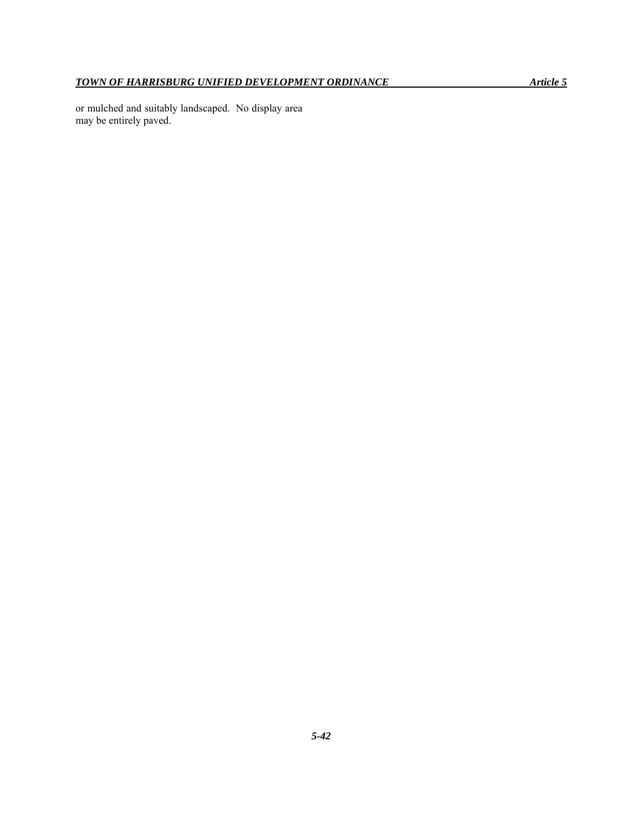or mulched and suitably landscaped. No display area may be entirely paved.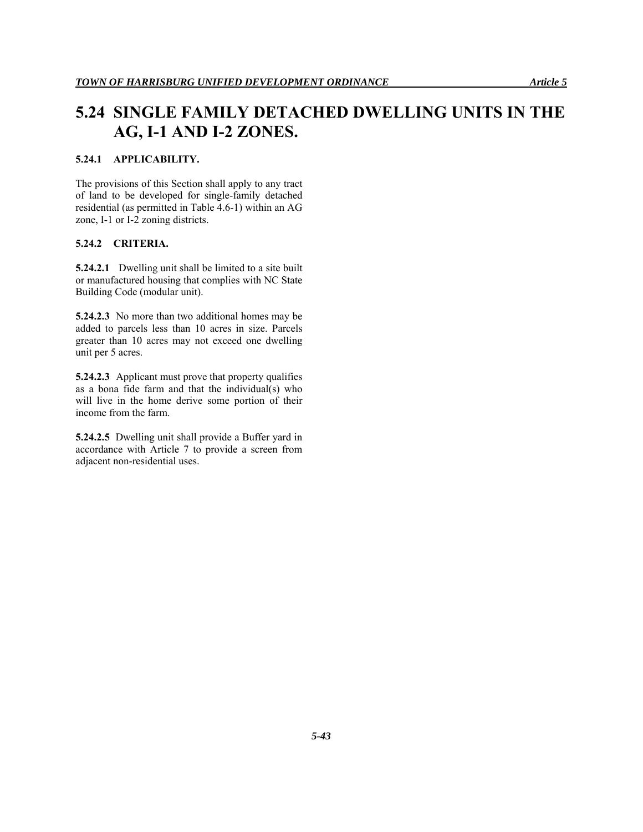# **5.24 SINGLE FAMILY DETACHED DWELLING UNITS IN THE AG, I-1 AND I-2 ZONES.**

# **5.24.1 APPLICABILITY.**

The provisions of this Section shall apply to any tract of land to be developed for single-family detached residential (as permitted in Table 4.6-1) within an AG zone, I-1 or I-2 zoning districts.

### **5.24.2 CRITERIA.**

**5.24.2.1** Dwelling unit shall be limited to a site built or manufactured housing that complies with NC State Building Code (modular unit).

**5.24.2.3** No more than two additional homes may be added to parcels less than 10 acres in size. Parcels greater than 10 acres may not exceed one dwelling unit per 5 acres.

**5.24.2.3** Applicant must prove that property qualifies as a bona fide farm and that the individual(s) who will live in the home derive some portion of their income from the farm.

**5.24.2.5** Dwelling unit shall provide a Buffer yard in accordance with Article 7 to provide a screen from adjacent non-residential uses.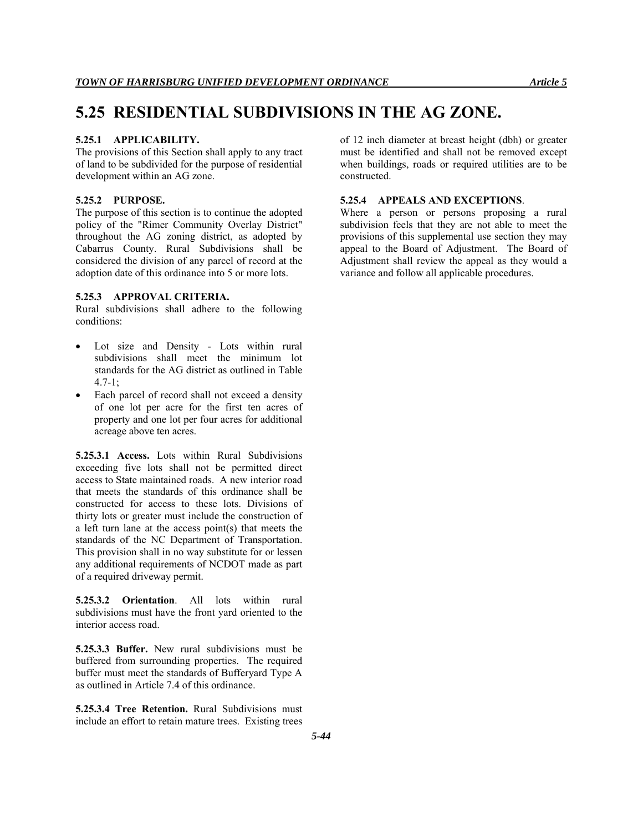# **5.25 RESIDENTIAL SUBDIVISIONS IN THE AG ZONE.**

#### **5.25.1 APPLICABILITY.**

The provisions of this Section shall apply to any tract of land to be subdivided for the purpose of residential development within an AG zone.

#### **5.25.2 PURPOSE.**

The purpose of this section is to continue the adopted policy of the "Rimer Community Overlay District" throughout the AG zoning district, as adopted by Cabarrus County. Rural Subdivisions shall be considered the division of any parcel of record at the adoption date of this ordinance into 5 or more lots.

#### **5.25.3 APPROVAL CRITERIA.**

Rural subdivisions shall adhere to the following conditions:

- Lot size and Density Lots within rural subdivisions shall meet the minimum lot standards for the AG district as outlined in Table 4.7-1;
- Each parcel of record shall not exceed a density of one lot per acre for the first ten acres of property and one lot per four acres for additional acreage above ten acres.

**5.25.3.1 Access.** Lots within Rural Subdivisions exceeding five lots shall not be permitted direct access to State maintained roads. A new interior road that meets the standards of this ordinance shall be constructed for access to these lots. Divisions of thirty lots or greater must include the construction of a left turn lane at the access point(s) that meets the standards of the NC Department of Transportation. This provision shall in no way substitute for or lessen any additional requirements of NCDOT made as part of a required driveway permit.

**5.25.3.2 Orientation**. All lots within rural subdivisions must have the front yard oriented to the interior access road.

**5.25.3.3 Buffer.** New rural subdivisions must be buffered from surrounding properties. The required buffer must meet the standards of Bufferyard Type A as outlined in Article 7.4 of this ordinance.

**5.25.3.4 Tree Retention.** Rural Subdivisions must include an effort to retain mature trees. Existing trees of 12 inch diameter at breast height (dbh) or greater must be identified and shall not be removed except when buildings, roads or required utilities are to be constructed.

### **5.25.4 APPEALS AND EXCEPTIONS**.

Where a person or persons proposing a rural subdivision feels that they are not able to meet the provisions of this supplemental use section they may appeal to the Board of Adjustment. The Board of Adjustment shall review the appeal as they would a variance and follow all applicable procedures.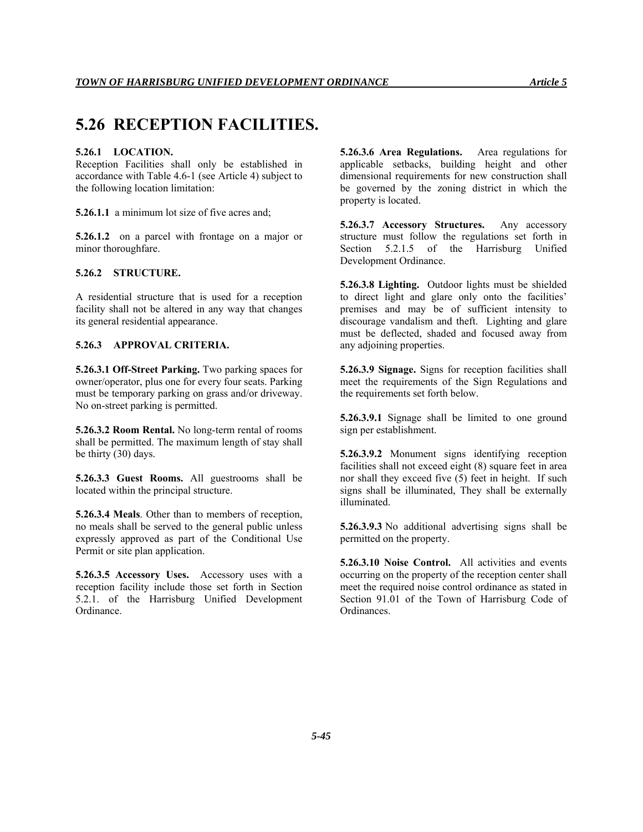# **5.26 RECEPTION FACILITIES.**

#### **5.26.1 LOCATION.**

Reception Facilities shall only be established in accordance with Table 4.6-1 (see Article 4) subject to the following location limitation:

**5.26.1.1** a minimum lot size of five acres and;

**5.26.1.2** on a parcel with frontage on a major or minor thoroughfare.

# **5.26.2 STRUCTURE.**

A residential structure that is used for a reception facility shall not be altered in any way that changes its general residential appearance.

# **5.26.3 APPROVAL CRITERIA.**

**5.26.3.1 Off-Street Parking.** Two parking spaces for owner/operator, plus one for every four seats. Parking must be temporary parking on grass and/or driveway. No on-street parking is permitted.

**5.26.3.2 Room Rental.** No long-term rental of rooms shall be permitted. The maximum length of stay shall be thirty (30) days.

**5.26.3.3 Guest Rooms.** All guestrooms shall be located within the principal structure.

**5.26.3.4 Meals**. Other than to members of reception, no meals shall be served to the general public unless expressly approved as part of the Conditional Use Permit or site plan application.

**5.26.3.5 Accessory Uses.** Accessory uses with a reception facility include those set forth in Section 5.2.1. of the Harrisburg Unified Development Ordinance.

**5.26.3.6 Area Regulations.** Area regulations for applicable setbacks, building height and other dimensional requirements for new construction shall be governed by the zoning district in which the property is located.

**5.26.3.7 Accessory Structures.** Any accessory structure must follow the regulations set forth in Section 5.2.1.5 of the Harrisburg Unified Development Ordinance.

**5.26.3.8 Lighting.** Outdoor lights must be shielded to direct light and glare only onto the facilities' premises and may be of sufficient intensity to discourage vandalism and theft. Lighting and glare must be deflected, shaded and focused away from any adjoining properties.

**5.26.3.9 Signage.** Signs for reception facilities shall meet the requirements of the Sign Regulations and the requirements set forth below.

**5.26.3.9.1** Signage shall be limited to one ground sign per establishment.

**5.26.3.9.2** Monument signs identifying reception facilities shall not exceed eight (8) square feet in area nor shall they exceed five (5) feet in height. If such signs shall be illuminated, They shall be externally illuminated.

**5.26.3.9.3** No additional advertising signs shall be permitted on the property.

**5.26.3.10 Noise Control.** All activities and events occurring on the property of the reception center shall meet the required noise control ordinance as stated in Section 91.01 of the Town of Harrisburg Code of Ordinances.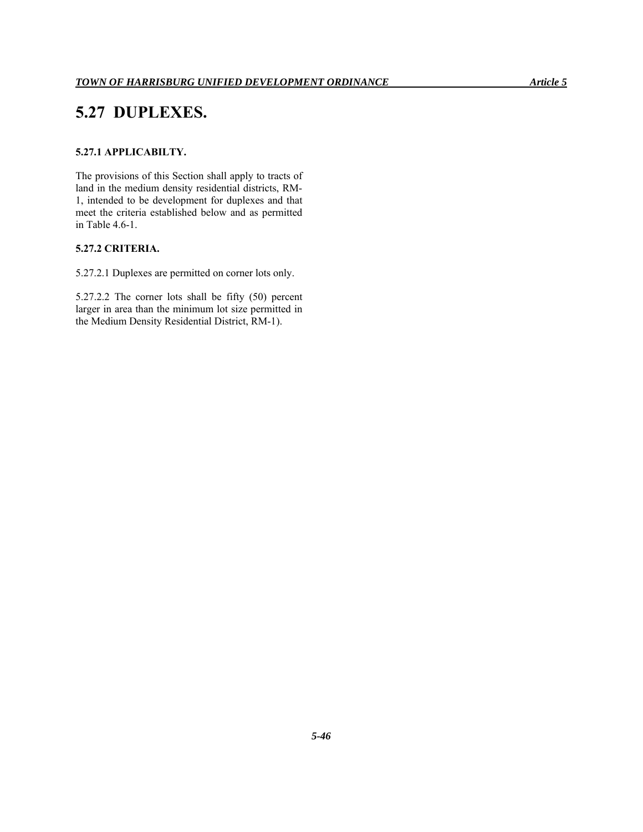# **5.27 DUPLEXES.**

# **5.27.1 APPLICABILTY.**

The provisions of this Section shall apply to tracts of land in the medium density residential districts, RM-1, intended to be development for duplexes and that meet the criteria established below and as permitted in Table 4.6-1.

# **5.27.2 CRITERIA.**

5.27.2.1 Duplexes are permitted on corner lots only.

5.27.2.2 The corner lots shall be fifty (50) percent larger in area than the minimum lot size permitted in the Medium Density Residential District, RM-1).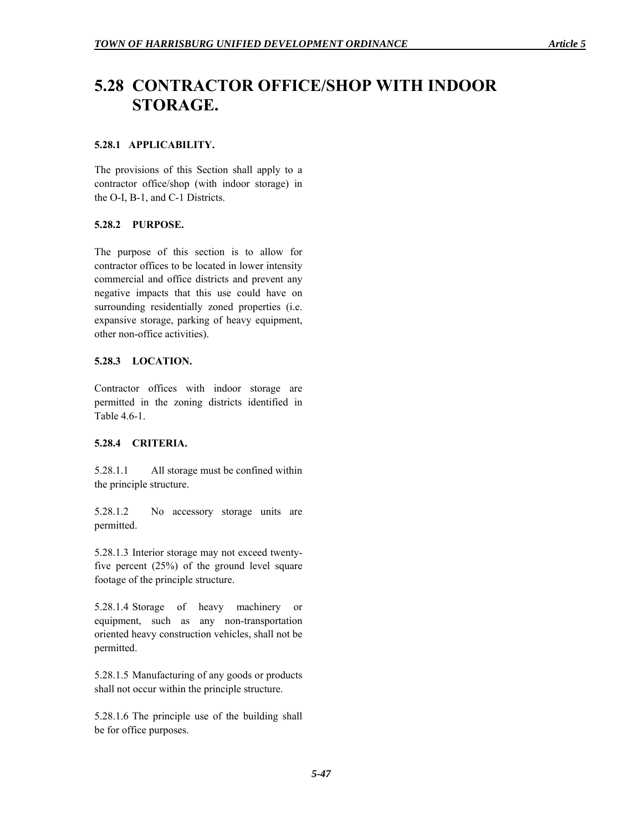# **5.28 CONTRACTOR OFFICE/SHOP WITH INDOOR STORAGE.**

# **5.28.1 APPLICABILITY.**

The provisions of this Section shall apply to a contractor office/shop (with indoor storage) in the O-I, B-1, and C-1 Districts.

# **5.28.2 PURPOSE.**

The purpose of this section is to allow for contractor offices to be located in lower intensity commercial and office districts and prevent any negative impacts that this use could have on surrounding residentially zoned properties (i.e. expansive storage, parking of heavy equipment, other non-office activities).

# **5.28.3 LOCATION.**

Contractor offices with indoor storage are permitted in the zoning districts identified in Table 4.6-1.

# **5.28.4 CRITERIA.**

5.28.1.1 All storage must be confined within the principle structure.

5.28.1.2 No accessory storage units are permitted.

5.28.1.3 Interior storage may not exceed twentyfive percent (25%) of the ground level square footage of the principle structure.

5.28.1.4 Storage of heavy machinery or equipment, such as any non-transportation oriented heavy construction vehicles, shall not be permitted.

5.28.1.5 Manufacturing of any goods or products shall not occur within the principle structure.

5.28.1.6 The principle use of the building shall be for office purposes.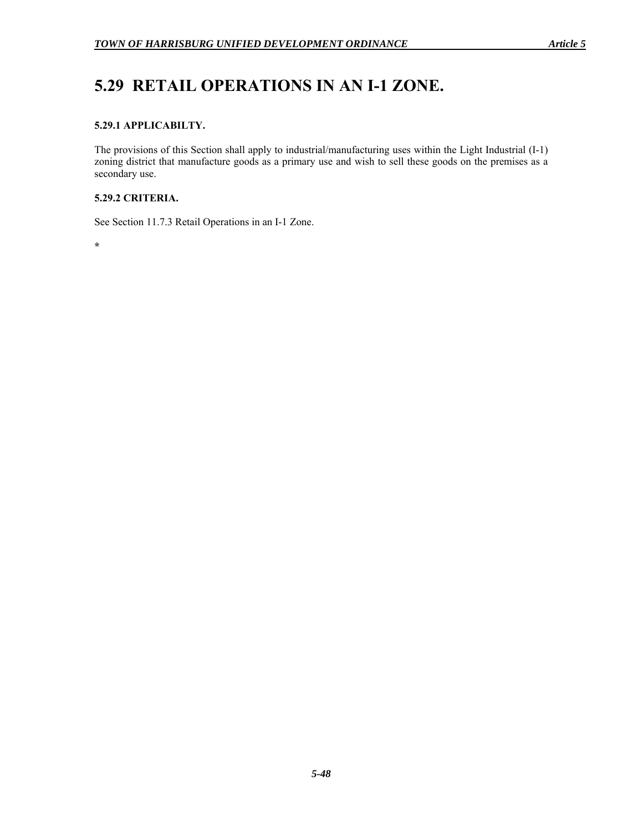# **5.29 RETAIL OPERATIONS IN AN I-1 ZONE.**

# **5.29.1 APPLICABILTY.**

The provisions of this Section shall apply to industrial/manufacturing uses within the Light Industrial (I-1) zoning district that manufacture goods as a primary use and wish to sell these goods on the premises as a secondary use.

# **5.29.2 CRITERIA.**

See Section 11.7.3 Retail Operations in an I-1 Zone.

**\***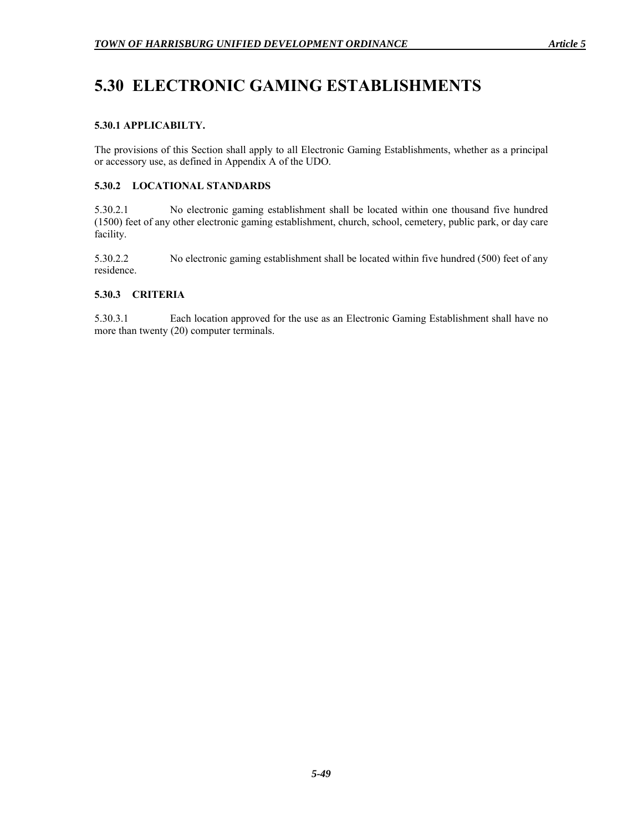# **5.30 ELECTRONIC GAMING ESTABLISHMENTS**

# **5.30.1 APPLICABILTY.**

The provisions of this Section shall apply to all Electronic Gaming Establishments, whether as a principal or accessory use, as defined in Appendix A of the UDO.

# **5.30.2 LOCATIONAL STANDARDS**

5.30.2.1 No electronic gaming establishment shall be located within one thousand five hundred (1500) feet of any other electronic gaming establishment, church, school, cemetery, public park, or day care facility.

5.30.2.2 No electronic gaming establishment shall be located within five hundred (500) feet of any residence.

# **5.30.3 CRITERIA**

5.30.3.1 Each location approved for the use as an Electronic Gaming Establishment shall have no more than twenty (20) computer terminals.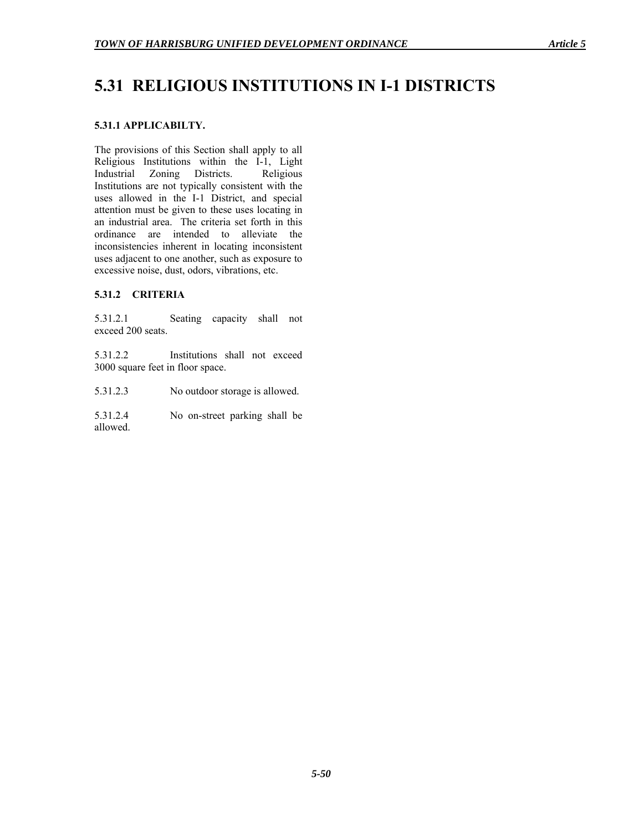# **5.31 RELIGIOUS INSTITUTIONS IN I-1 DISTRICTS**

# **5.31.1 APPLICABILTY.**

The provisions of this Section shall apply to all Religious Institutions within the I-1, Light<br>Industrial Zoning Districts. Religious Zoning Districts. Religious Institutions are not typically consistent with the uses allowed in the I-1 District, and special attention must be given to these uses locating in an industrial area. The criteria set forth in this ordinance are intended to alleviate the inconsistencies inherent in locating inconsistent uses adjacent to one another, such as exposure to excessive noise, dust, odors, vibrations, etc.

# **5.31.2 CRITERIA**

5.31.2.1 Seating capacity shall not exceed 200 seats.

5.31.2.2 Institutions shall not exceed 3000 square feet in floor space.

5.31.2.3 No outdoor storage is allowed.

5.31.2.4 No on-street parking shall be allowed.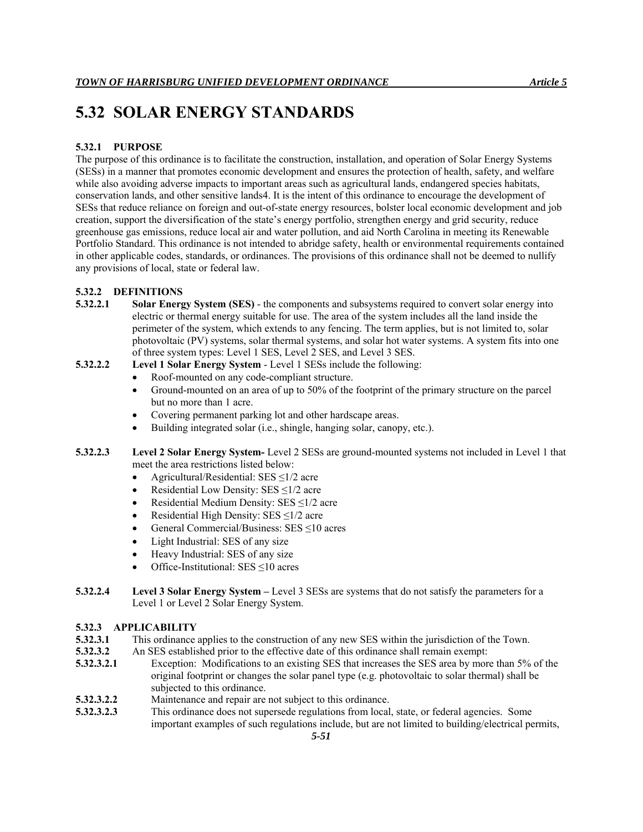# **5.32 SOLAR ENERGY STANDARDS**

# **5.32.1 PURPOSE**

The purpose of this ordinance is to facilitate the construction, installation, and operation of Solar Energy Systems (SESs) in a manner that promotes economic development and ensures the protection of health, safety, and welfare while also avoiding adverse impacts to important areas such as agricultural lands, endangered species habitats, conservation lands, and other sensitive lands4. It is the intent of this ordinance to encourage the development of SESs that reduce reliance on foreign and out-of-state energy resources, bolster local economic development and job creation, support the diversification of the state's energy portfolio, strengthen energy and grid security, reduce greenhouse gas emissions, reduce local air and water pollution, and aid North Carolina in meeting its Renewable Portfolio Standard. This ordinance is not intended to abridge safety, health or environmental requirements contained in other applicable codes, standards, or ordinances. The provisions of this ordinance shall not be deemed to nullify any provisions of local, state or federal law.

# **5.32.2 DEFINITIONS**

**5.32.2.1 Solar Energy System (SES)** - the components and subsystems required to convert solar energy into electric or thermal energy suitable for use. The area of the system includes all the land inside the perimeter of the system, which extends to any fencing. The term applies, but is not limited to, solar photovoltaic (PV) systems, solar thermal systems, and solar hot water systems. A system fits into one of three system types: Level 1 SES, Level 2 SES, and Level 3 SES.

# **5.32.2.2 Level 1 Solar Energy System** - Level 1 SESs include the following:

- Roof-mounted on any code-compliant structure.
- Ground-mounted on an area of up to 50% of the footprint of the primary structure on the parcel but no more than 1 acre.
- Covering permanent parking lot and other hardscape areas.
- Building integrated solar (i.e., shingle, hanging solar, canopy, etc.).

### **5.32.2.3 Level 2 Solar Energy System-** Level 2 SESs are ground-mounted systems not included in Level 1 that meet the area restrictions listed below:

- Agricultural/Residential: SES ≤1/2 acre
- Residential Low Density: SES  $\leq$ 1/2 acre
- Residential Medium Density: SES ≤1/2 acre
- Residential High Density: SES  $\leq$ 1/2 acre
- General Commercial/Business:  $SES \le 10$  acres
- Light Industrial: SES of any size
- Heavy Industrial: SES of any size
- Office-Institutional: SES ≤10 acres
- **5.32.2.4 Level 3 Solar Energy System** Level 3 SESs are systems that do not satisfy the parameters for a Level 1 or Level 2 Solar Energy System.

# **5.32.3 APPLICABILITY**

- **5.32.3.1** This ordinance applies to the construction of any new SES within the jurisdiction of the Town.
- **5.32.3.2** An SES established prior to the effective date of this ordinance shall remain exempt:
- **5.32.3.2.1** Exception: Modifications to an existing SES that increases the SES area by more than 5% of the original footprint or changes the solar panel type (e.g. photovoltaic to solar thermal) shall be subjected to this ordinance.
- **5.32.3.2.2** Maintenance and repair are not subject to this ordinance.
- **5.32.3.2.3** This ordinance does not supersede regulations from local, state, or federal agencies. Some important examples of such regulations include, but are not limited to building/electrical permits,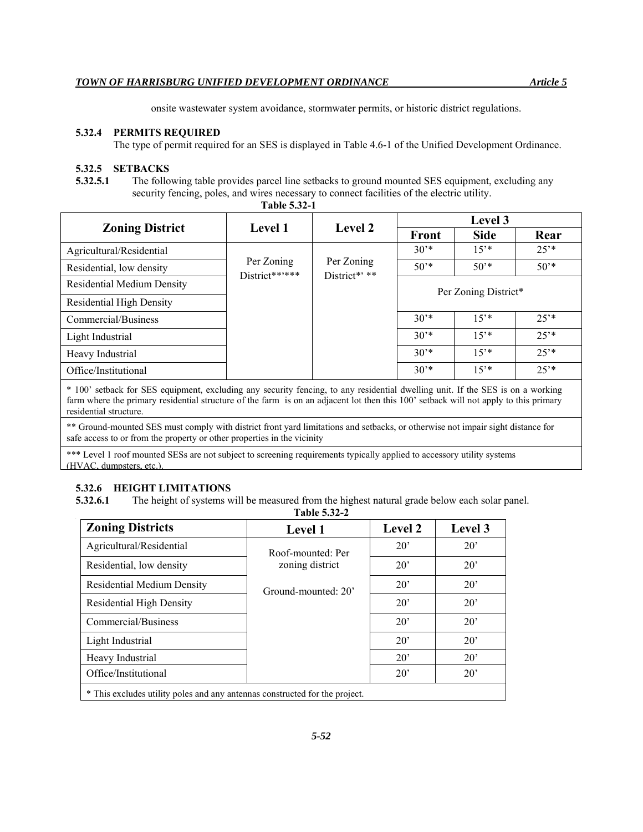onsite wastewater system avoidance, stormwater permits, or historic district regulations.

#### **5.32.4 PERMITS REQUIRED**

The type of permit required for an SES is displayed in Table 4.6-1 of the Unified Development Ordinance.

#### **5.32.5 SETBACKS**

**5.32.5.1** The following table provides parcel line setbacks to ground mounted SES equipment, excluding any security fencing, poles, and wires necessary to connect facilities of the electric utility.

| 1 UUIV VIV <i>e</i> 1                                                                                                                                                                                                                                                                            |                              |                             |                      |             |           |
|--------------------------------------------------------------------------------------------------------------------------------------------------------------------------------------------------------------------------------------------------------------------------------------------------|------------------------------|-----------------------------|----------------------|-------------|-----------|
|                                                                                                                                                                                                                                                                                                  | <b>Level 1</b>               | <b>Level 2</b>              | Level 3              |             |           |
| <b>Zoning District</b>                                                                                                                                                                                                                                                                           |                              |                             | <b>Front</b>         | <b>Side</b> | Rear      |
| Agricultural/Residential                                                                                                                                                                                                                                                                         |                              |                             | $30^{*}$             | $15^{*}$    | $25^{**}$ |
| Residential, low density                                                                                                                                                                                                                                                                         | Per Zoning<br>District**'*** | Per Zoning<br>District*' ** | $50^{*}$             | $50^{*}$    | $50^{*}$  |
| <b>Residential Medium Density</b>                                                                                                                                                                                                                                                                |                              |                             | Per Zoning District* |             |           |
| <b>Residential High Density</b>                                                                                                                                                                                                                                                                  |                              |                             |                      |             |           |
| Commercial/Business                                                                                                                                                                                                                                                                              |                              |                             | $30**$               | $15^{*}$    | $25^{**}$ |
| Light Industrial                                                                                                                                                                                                                                                                                 |                              |                             | $30**$               | $15^{*}$    | $25^{**}$ |
| Heavy Industrial                                                                                                                                                                                                                                                                                 |                              |                             | $30**$               | $15^{*}$    | $25^{*}$  |
| Office/Institutional                                                                                                                                                                                                                                                                             |                              |                             | $30^{*}$             | $15^{*}$    | $25^{**}$ |
| * 100' setback for SES equipment, excluding any security fencing, to any residential dwelling unit. If the SES is on a working<br>farm where the primary residential structure of the farm is on an adjacent lot then this 100' setback will not apply to this primary<br>residential structure. |                              |                             |                      |             |           |

**Table 5.32-1**

\*\* Ground-mounted SES must comply with district front yard limitations and setbacks, or otherwise not impair sight distance for safe access to or from the property or other properties in the vicinity

\*\*\* Level 1 roof mounted SESs are not subject to screening requirements typically applied to accessory utility systems (HVAC, dumpsters, etc.).

#### **5.32.6 HEIGHT LIMITATIONS**

**5.32.6.1** The height of systems will be measured from the highest natural grade below each solar panel.

#### **Table 5.32-2**

| <b>Zoning Districts</b>                                                     | <b>Level 1</b>      | <b>Level 2</b> | Level 3      |  |  |
|-----------------------------------------------------------------------------|---------------------|----------------|--------------|--|--|
| Agricultural/Residential                                                    | Roof-mounted: Per   | $20^{\circ}$   | $20^{\circ}$ |  |  |
| Residential, low density                                                    | zoning district     | $20^{\circ}$   | $20^{\circ}$ |  |  |
| <b>Residential Medium Density</b>                                           | Ground-mounted: 20' | $20^{\circ}$   | $20^{\circ}$ |  |  |
| <b>Residential High Density</b>                                             |                     | $20^{\circ}$   | $20^{\circ}$ |  |  |
| Commercial/Business                                                         |                     | $20^{\circ}$   | $20^{\circ}$ |  |  |
| Light Industrial                                                            |                     | $20^{\circ}$   | $20^{\circ}$ |  |  |
| Heavy Industrial                                                            |                     | $20^{\circ}$   | $20^{\circ}$ |  |  |
| Office/Institutional                                                        |                     | $20^{\circ}$   | $20^{\circ}$ |  |  |
| * This excludes utility poles and any antennas constructed for the project. |                     |                |              |  |  |

\* This excludes utility poles and any antennas constructed for the project.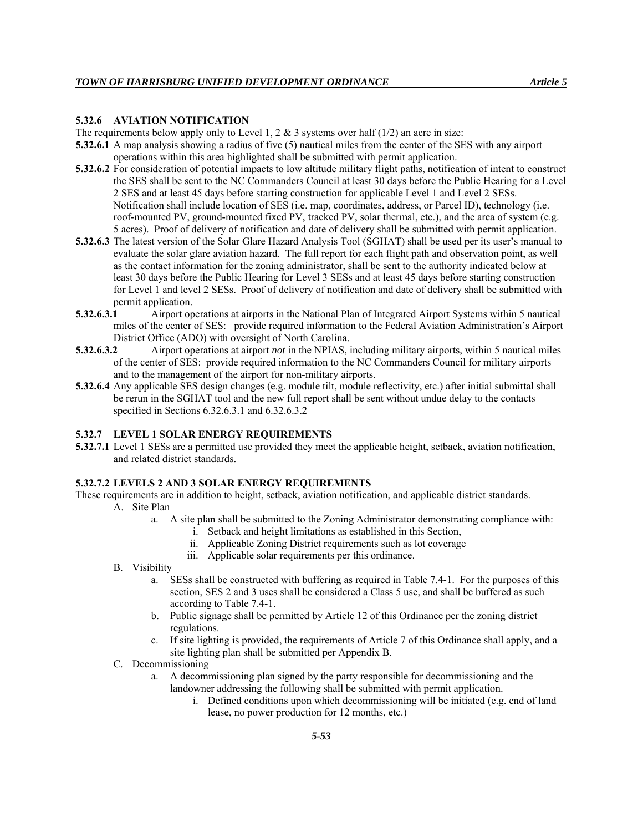# **5.32.6 AVIATION NOTIFICATION**

The requirements below apply only to Level 1, 2 & 3 systems over half  $(1/2)$  an acre in size:

- **5.32.6.1** A map analysis showing a radius of five (5) nautical miles from the center of the SES with any airport operations within this area highlighted shall be submitted with permit application.
- **5.32.6.2** For consideration of potential impacts to low altitude military flight paths, notification of intent to construct the SES shall be sent to the NC Commanders Council at least 30 days before the Public Hearing for a Level 2 SES and at least 45 days before starting construction for applicable Level 1 and Level 2 SESs. Notification shall include location of SES (i.e. map, coordinates, address, or Parcel ID), technology (i.e. roof-mounted PV, ground-mounted fixed PV, tracked PV, solar thermal, etc.), and the area of system (e.g. 5 acres). Proof of delivery of notification and date of delivery shall be submitted with permit application.
- **5.32.6.3** The latest version of the Solar Glare Hazard Analysis Tool (SGHAT) shall be used per its user's manual to evaluate the solar glare aviation hazard. The full report for each flight path and observation point, as well as the contact information for the zoning administrator, shall be sent to the authority indicated below at least 30 days before the Public Hearing for Level 3 SESs and at least 45 days before starting construction for Level 1 and level 2 SESs. Proof of delivery of notification and date of delivery shall be submitted with permit application.
- **5.32.6.3.1** Airport operations at airports in the National Plan of Integrated Airport Systems within 5 nautical miles of the center of SES: provide required information to the Federal Aviation Administration's Airport District Office (ADO) with oversight of North Carolina.
- **5.32.6.3.2** Airport operations at airport *not* in the NPIAS, including military airports, within 5 nautical miles of the center of SES: provide required information to the NC Commanders Council for military airports and to the management of the airport for non-military airports.
- **5.32.6.4** Any applicable SES design changes (e.g. module tilt, module reflectivity, etc.) after initial submittal shall be rerun in the SGHAT tool and the new full report shall be sent without undue delay to the contacts specified in Sections 6.32.6.3.1 and 6.32.6.3.2

#### **5.32.7 LEVEL 1 SOLAR ENERGY REQUIREMENTS**

**5.32.7.1** Level 1 SESs are a permitted use provided they meet the applicable height, setback, aviation notification, and related district standards.

#### **5.32.7.2 LEVELS 2 AND 3 SOLAR ENERGY REQUIREMENTS**

These requirements are in addition to height, setback, aviation notification, and applicable district standards.

- A. Site Plan
	- a. A site plan shall be submitted to the Zoning Administrator demonstrating compliance with:
		- i. Setback and height limitations as established in this Section,
		- ii. Applicable Zoning District requirements such as lot coverage
		- iii. Applicable solar requirements per this ordinance.
- B. Visibility
	- a. SESs shall be constructed with buffering as required in Table 7.4-1. For the purposes of this section, SES 2 and 3 uses shall be considered a Class 5 use, and shall be buffered as such according to Table 7.4-1.
	- b. Public signage shall be permitted by Article 12 of this Ordinance per the zoning district regulations.
	- c. If site lighting is provided, the requirements of Article 7 of this Ordinance shall apply, and a site lighting plan shall be submitted per Appendix B.
- C. Decommissioning
	- a. A decommissioning plan signed by the party responsible for decommissioning and the landowner addressing the following shall be submitted with permit application.
		- i. Defined conditions upon which decommissioning will be initiated (e.g. end of land lease, no power production for 12 months, etc.)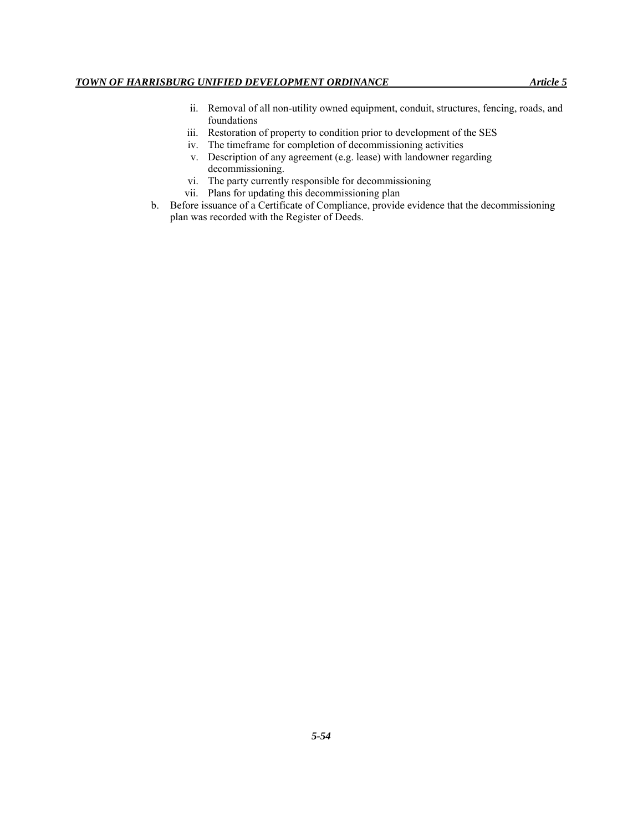- ii. Removal of all non-utility owned equipment, conduit, structures, fencing, roads, and foundations
- iii. Restoration of property to condition prior to development of the SES
- iv. The timeframe for completion of decommissioning activities
- v. Description of any agreement (e.g. lease) with landowner regarding decommissioning.
- vi. The party currently responsible for decommissioning
- vii. Plans for updating this decommissioning plan
- b. Before issuance of a Certificate of Compliance, provide evidence that the decommissioning plan was recorded with the Register of Deeds.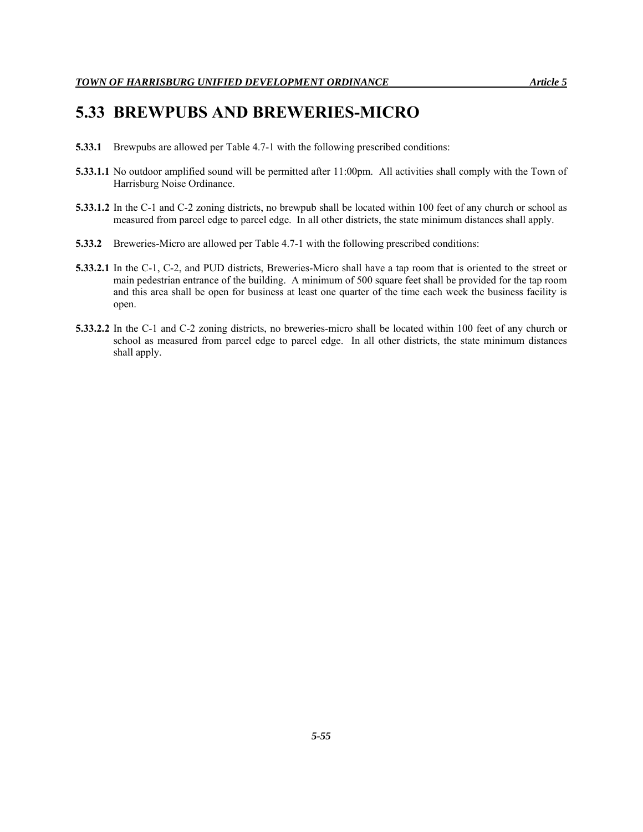# **5.33 BREWPUBS AND BREWERIES-MICRO**

- **5.33.1** Brewpubs are allowed per Table 4.7-1 with the following prescribed conditions:
- **5.33.1.1** No outdoor amplified sound will be permitted after 11:00pm. All activities shall comply with the Town of Harrisburg Noise Ordinance.
- **5.33.1.2** In the C-1 and C-2 zoning districts, no brewpub shall be located within 100 feet of any church or school as measured from parcel edge to parcel edge. In all other districts, the state minimum distances shall apply.
- **5.33.2** Breweries-Micro are allowed per Table 4.7-1 with the following prescribed conditions:
- **5.33.2.1** In the C-1, C-2, and PUD districts, Breweries-Micro shall have a tap room that is oriented to the street or main pedestrian entrance of the building. A minimum of 500 square feet shall be provided for the tap room and this area shall be open for business at least one quarter of the time each week the business facility is open.
- **5.33.2.2** In the C-1 and C-2 zoning districts, no breweries-micro shall be located within 100 feet of any church or school as measured from parcel edge to parcel edge. In all other districts, the state minimum distances shall apply.